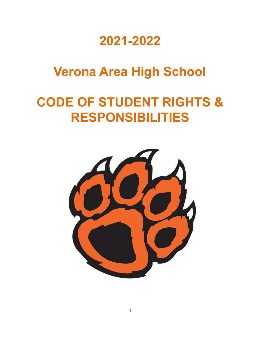# **2021-2022**

# **Verona Area High School**

# **CODE OF STUDENT RIGHTS & RESPONSIBILITIES**

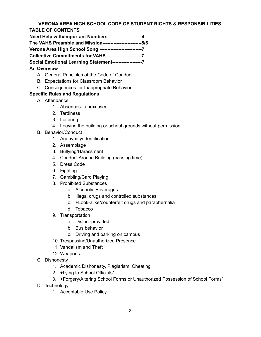# **VERONA AREA HIGH SCHOOL CODE OF STUDENT RIGHTS & RESPONSIBILITIES**

# **TABLE OF CONTENTS**

**Need Help with/Important Numbers----------------------4 The VAHS Preamble and Mission-------------------------5/6 Verona Area High School Song ---------------------------7 Collective Commitments for VAHS-----------------------7 Social Emotional Learning Statement-------------------7 An Overview**

- A. General Principles of the Code of Conduct
- B. Expectations for Classroom Behavior
- C. Consequences for Inappropriate Behavior

# **Specific Rules and Regulations**

- A. Attendance
	- 1. Absences unexcused
	- 2. Tardiness
	- 3. Loitering
	- 4. Leaving the building or school grounds without permission
- B. Behavior/Conduct
	- 1. Anonymity/Identification
	- 2. Assemblage
	- 3. Bullying/Harassment
	- 4. Conduct Around Building (passing time)
	- 5. Dress Code
	- 6. Fighting
	- 7. Gambling/Card Playing
	- 8. Prohibited Substances
		- a. Alcoholic Beverages
		- b. Illegal drugs and controlled substances
		- c. +Look-alike/counterfeit drugs and paraphernalia
		- d. Tobacco
	- 9. Transportation
		- a. District-provided
		- b. Bus behavior
		- c. Driving and parking on campus
	- 10. Trespassing/Unauthorized Presence
	- 11. Vandalism and Theft
	- 12. Weapons
- C. Dishonesty
	- 1. Academic Dishonesty, Plagiarism, Cheating
	- 2. +Lying to School Officials\*
	- 3. +Forgery/Altering School Forms or Unauthorized Possession of School Forms\*
- D. Technology
	- 1. Acceptable Use Policy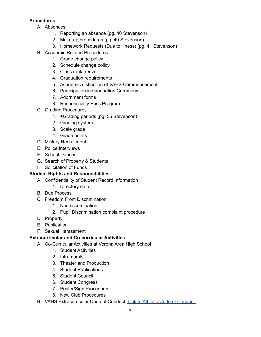# **Procedures**

- A. Absences
	- 1. Reporting an absence (pg. 40 Stevenson)
	- 2. Make-up procedures (pg. 40 Stevenson)
	- 3. Homework Requests (Due to illness) (pg. 41 Stevenson)
- B. Academic Related Procedures
	- 1. Grade change policy
	- 2. Schedule change policy
	- 3. Class rank freeze
	- 4. Graduation requirements
	- 5. Academic distinction of VAHS Commencement
	- 6. Participation in Graduation Ceremony
	- 7. Adornment forms
	- 8. Responsibility Pass Program
- C. Grading Procedures
	- 1. +Grading periods (pg. 55 Stevenson)
	- 2. Grading system
	- 3. Scale grade
	- 4. Grade points
- D. Military Recruitment
- E. Police Interviews
- F. School Dances
- G. Search of Property & Students
- H. Solicitation of Funds

# **Student Rights and Responsibilities**

- A. Confidentiality of Student Record Information
	- 1. Directory data
- B. Due Process
- C. Freedom From Discrimination
	- 1. Nondiscrimination
	- 2. Pupil Discrimination complaint procedure
- D. Property
- E. Publication
- F. Sexual Harassment

# **Extracurricular and Co-curricular Activities**

- A. Co-Curricular Activities at Verona Area High School
	- 1. Student Activities
	- 2. Intramurals
	- 3. Theater and Production
	- 4. Student Publications
	- 5. Student Council
	- 6. Student Congress
	- 7. Poster/Sign Procedures
	- 8. New Club Procedures
- B. VAHS Extracurricular Code of Conduct: Link to Athletic Code of [Conduct](https://docs.google.com/document/d/1W8fjEaffxiSIEP78ExLDsu0dLEuS_HdcoEEJioBSBQ0/edit)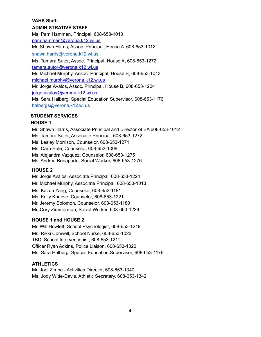# **VAHS Staff:**

# **ADMINISTRATIVE STAFF**

Ms. Pam Hammen, Principal, 608-653-1010 [pam.hammen@verona.k12.wi.us](mailto:pam.hammen@verona.k12.wi.us) Mr. Shawn Harris, Assoc. Principal, House A 608-653-1012 [shawn.harris@verona.k12.wi.us](mailto:shawn.harris@verona.k12.wi.us) Ms. Tamara Sutor, Assoc. Principal, House A, 608-653-1272 [tamara.sutor@verona.k12.wi.us](mailto:tamara.sutor@verona.k12.wi.us) Mr. Michael Murphy, Assoc. Principal, House B, 608-653-1013 [michael.murphy@verona.k12.wi.us](mailto:michael.murphy@verona.k12.wi.us) Mr. Jorge Ávalos, Assoc. Principal, House B, 608-653-1224 [jorge.avalos@verona.k12.wi.us](mailto:jorge.avalos@verona.k12.wi.us) Ms. Sara Halberg, Special Education Supervisor, 608-653-1176 [halbergs@verona.k12.wi.us](mailto:halbergs@verona.k12.wi.us)

# **STUDENT SERVICES**

# **HOUSE 1**

Mr. Shawn Harris, Associate Principal and Director of EA 608-653-1012 Ms. Tamara Sutor, Associate Principal, 608-653-1272 Ms. Lesley Morrison, Counselor, 608-653-1271 Ms. Carri Hale, Counselor, 608-653-1008 Ms. Alejandra Vazquez, Counselor, 608-653-1275 Ms. Andrea Bonaparte, Social Worker, 608-653-1276

# **HOUSE 2**

Mr. Jorge Avalos, Associate Principal, 608-653-1224 Mr. Michael Murphy, Associate Principal, 608-653-1013 Ms. Kazua Yang, Counselor, 608-653-1181 Ms. Kelly Knueve, Counselor, 608-653-1221 Mr. Jeremy Solomon, Counselor, 608-653-1180 Mr. Cory Zimmerman, Social Worker, 608-653-1236

# **HOUSE 1 and HOUSE 2**

Mr. Will Howlett, School Psychologist, 608-653-1219 Ms. Rikki Conwell, School Nurse, 608-653-1023 TBD, School Interventionist, 608-653-1211 Officer Ryan Adkins, Police Liaison, 608-653-1022 Ms. Sara Halberg, Special Education Supervisor, 608-653-1176

# **ATHLETICS**

Mr. Joel Zimba - Activities Director, 608-653-1340 Ms. Jody Witte-Davis, Athletic Secretary, 608-653-1342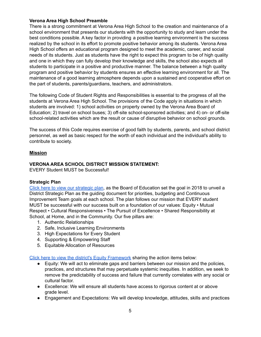### **Verona Area High School Preamble**

There is a strong commitment at Verona Area High School to the creation and maintenance of a school environment that presents our students with the opportunity to study and learn under the best conditions possible. A key factor in providing a positive learning environment is the success realized by the school in its effort to promote positive behavior among its students. Verona Area High School offers an educational program designed to meet the academic, career, and social needs of its students. Just as students have the right to expect this program to be of high quality and one in which they can fully develop their knowledge and skills, the school also expects all students to participate in a positive and productive manner. The balance between a high quality program and positive behavior by students ensures an effective learning environment for all. The maintenance of a good learning atmosphere depends upon a sustained and cooperative effort on the part of students, parents/guardians, teachers, and administrators.

The following Code of Student Rights and Responsibilities is essential to the progress of all the students at Verona Area High School. The provisions of the Code apply in situations in which students are involved: 1) school activities on property owned by the Verona Area Board of Education; 2) travel on school buses; 3) off-site school-sponsored activities; and 4) on- or off-site school-related activities which are the result or cause of disruptive behavior on school grounds.

The success of this Code requires exercise of good faith by students, parents, and school district personnel, as well as basic respect for the worth of each individual and the individual's ability to contribute to society.

# **Mission**

#### **VERONA AREA SCHOOL DISTRICT MISSION STATEMENT:**

EVERY Student MUST be Successful!

#### **Strategic Plan**

Click here to view our [strategic](http://www.verona.k12.wi.us/about_vasd/about_us/strategic_plan_for_the_district) plan, as the Board of Education set the goal in 2018 to unveil a District Strategic Plan as the guiding document for priorities, budgeting and Continuous Improvement Team goals at each school. The plan follows our mission that EVERY student MUST be successful with our success built on a foundation of our values: Equity • Mutual Respect • Cultural Responsiveness • The Pursuit of Excellence • Shared Responsibility at School, at Home, and in the Community. Our five pillars are:

- 1. Authentic Relationships
- 2. Safe, Inclusive Learning Environments
- 3. High Expectations for Every Student
- 4. Supporting & Empowering Staff
- 5. Equitable Allocation of Resources

Click here to view the district's Equity [Framework](http://verona.ss6.sharpschool.com/UserFiles/Servers/Server_139685/File/Kloepping,%20Kelly/News%20Content%20documents/2015-2016/Equity%20Framework%20Design.pdf) sharing the action items below:

- Equity: We will act to eliminate gaps and barriers between our mission and the policies, practices, and structures that may perpetuate systemic inequities. In addition, we seek to remove the predictability of success and failure that currently correlates with any social or cultural factor.
- Excellence: We will ensure all students have access to rigorous content at or above grade level.
- Engagement and Expectations: We will develop knowledge, attitudes, skills and practices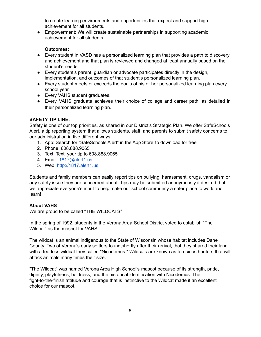to create learning environments and opportunities that expect and support high achievement for all students.

● Empowerment: We will create sustainable partnerships in supporting academic achievement for all students.

#### **Outcomes:**

- Every student in VASD has a personalized learning plan that provides a path to discovery and achievement and that plan is reviewed and changed at least annually based on the student's needs.
- Every student's parent, guardian or advocate participates directly in the design, implementation, and outcomes of that student's personalized learning plan.
- Every student meets or exceeds the goals of his or her personalized learning plan every school year.
- Every VAHS student graduates.
- Every VAHS graduate achieves their choice of college and career path, as detailed in their personalized learning plan.

# **SAFETY TIP LINE:**

Safety is one of our top priorities, as shared in our District's Strategic Plan. We offer SafeSchools Alert, a tip reporting system that allows students, staff, and parents to submit safety concerns to our administration in five different ways:

- 1. App: Search for "SafeSchools Alert" in the App Store to download for free
- 2. Phone: 608.888.9065
- 3. Text: Text your tip to 608.888.9065
- 4. Email: [1817@alert1.us](mailto:1817@alert1.us)
- 5. Web: [http://1817.alert1.us](http://1817.alert1.us/)

Students and family members can easily report tips on bullying, harassment, drugs, vandalism or any safety issue they are concerned about. Tips may be submitted anonymously if desired, but we appreciate everyone's input to help make our school community a safer place to work and learn!

#### **About VAHS**

We are proud to be called "THE WILDCATS"

In the spring of 1992, students in the Verona Area School District voted to establish "The Wildcat" as the mascot for VAHS.

The wildcat is an animal indigenous to the State of Wisconsin whose habitat includes Dane County. Two of Verona's early settlers found,shortly after their arrival, that they shared their land with a fearless wildcat they called "Nicodemus." Wildcats are known as ferocious hunters that will attack animals many times their size.

"The Wildcat" was named Verona Area High School's mascot because of its strength, pride, dignity, playfulness, boldness, and the historical identification with Nicodemus. The fight-to-the-finish attitude and courage that is instinctive to the Wildcat made it an excellent choice for our mascot.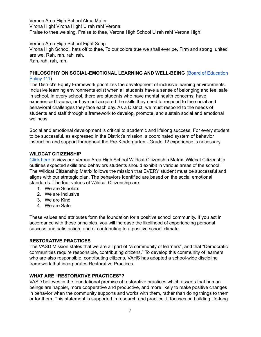Verona Area High School Alma Mater V'rona High! V'rona High! U rah rah! Verona Praise to thee we sing. Praise to thee, Verona High School U rah rah! Verona High!

Verona Area High School Fight Song V'rona High School, hats off to thee, To our colors true we shall ever be, Firm and strong, united are we, Rah, rah, rah, rah, Rah, rah, rah, rah,

#### **PHILOSOPHY ON SOCIAL-EMOTIONAL LEARNING AND WELL-BEING** (Board of [Education](http://verona.ss6.sharpschool.com/common/pages/DisplayFile.aspx?itemId=28325867) [Policy](http://verona.ss6.sharpschool.com/common/pages/DisplayFile.aspx?itemId=28325867) 111)

The District's Equity Framework prioritizes the development of inclusive learning environments. Inclusive learning environments exist when all students have a sense of belonging and feel safe in school. In every school, there are students who have mental health concerns, have experienced trauma, or have not acquired the skills they need to respond to the social and behavioral challenges they face each day. As a District, we must respond to the needs of students and staff through a framework to develop, promote, and sustain social and emotional wellness.

Social and emotional development is critical to academic and lifelong success. For every student to be successful, as expressed in the District's mission, a coordinated system of behavior instruction and support throughout the Pre-Kindergarten - Grade 12 experience is necessary.

#### **WILDCAT CITIZENSHIP**

[Click](https://docs.google.com/document/d/1_ddoANjpuOuKOFH3mNNE34KexKePLda1STRx3aofp1w/edit?usp=sharing) here to view our Verona Area High School Wildcat Citizenship Matrix. Wildcat Citizenship outlines expected skills and behaviors students should exhibit in various areas of the school. The Wildcat Citizenship Matrix follows the mission that EVERY student must be successful and aligns with our strategic plan. The behaviors identified are based on the social emotional standards. The four values of Wildcat Citizenship are:

- 1. We are Scholars
- 2. We are Inclusive
- 3. We are Kind
- 4. We are Safe

These values and attributes form the foundation for a positive school community. If you act in accordance with these principles, you will increase the likelihood of experiencing personal success and satisfaction, and of contributing to a positive school climate.

# **RESTORATIVE PRACTICES**

The VASD Mission states that we are all part of "a community of learners", and that "Democratic communities require responsible, contributing citizens." To develop this community of learners who are also responsible, contributing citizens, VAHS has adopted a school-wide discipline framework that incorporates Restorative Practices.

# **WHAT ARE "RESTORATIVE PRACTICES"?**

VASD believes in the foundational premise of restorative practices which asserts that human beings are happier, more cooperative and productive, and more likely to make positive changes in behavior when the community supports and works with them, rather than doing things to them or for them. This statement is supported in research and practice. It focuses on building life-long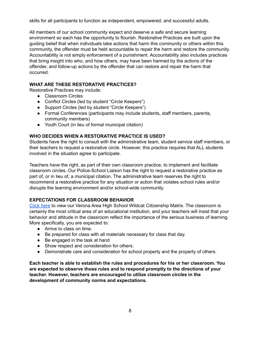skills for all participants to function as independent, empowered, and successful adults.

All members of our school community expect and deserve a safe and secure learning environment so each has the opportunity to flourish. Restorative Practices are built upon the guiding belief that when individuals take actions that harm this community or others within this community, the offender must be held accountable to repair the harm and restore the community. Accountability is not simply enforcement of a punishment. Accountability also includes practices that bring insight into who, and how others, may have been harmed by the actions of the offender, and follow-up actions by the offender that can restore and repair the harm that occurred.

# **WHAT ARE THESE RESTORATIVE PRACTICES?**

Restorative Practices may include:

- Classroom Circles
- Conflict Circles (led by student "Circle Keepers")
- Support Circles (led by student "Circle Keepers")
- Formal Conferences (participants may include students, staff members, parents, community members)
- Youth Court (in lieu of formal municipal citation)

# **WHO DECIDES WHEN A RESTORATIVE PRACTICE IS USED?**

Students have the right to consult with the administrative team, student service staff members, or their teachers to request a restorative circle. However, this practice requires that ALL students involved in the situation agree to participate.

Teachers have the right, as part of their own classroom practice, to implement and facilitate classroom circles. Our Police-School Liaison has the right to request a restorative practice as part of, or in lieu of, a municipal citation. The administrative team reserves the right to recommend a restorative practice for any situation or action that violates school rules and/or disrupts the learning environment and/or school-wide community.

# **EXPECTATIONS FOR CLASSROOM BEHAVIOR**

[Click](https://docs.google.com/document/d/1_ddoANjpuOuKOFH3mNNE34KexKePLda1STRx3aofp1w/edit?usp=sharing) here to view our Verona Area High School Wildcat Citizenship Matrix. The classroom is certainly the most critical area of an educational institution, and your teachers will insist that your behavior and attitude in the classroom reflect the importance of the serious business of learning. More specifically, you are expected to:

- Arrive to class on time.
- Be prepared for class with all materials necessary for class that day.
- Be engaged in the task at hand
- Show respect and consideration for others.
- Demonstrate care and consideration for school property and the property of others.

**Each teacher is able to establish the rules and procedures for his or her classroom. You are expected to observe those rules and to respond promptly to the directions of your teacher. However, teachers are encouraged to utilize classroom circles in the development of community norms and expectations.**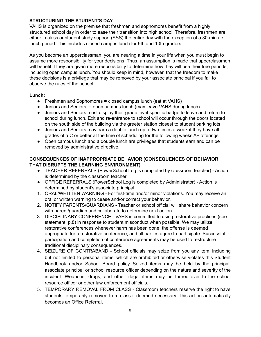# **STRUCTURING THE STUDENT'S DAY**

VAHS is organized on the premise that freshmen and sophomores benefit from a highly structured school day in order to ease their transition into high school. Therefore, freshmen are either in class or student study support (SSS) the entire day with the exception of a 30-minute lunch period. This includes closed campus lunch for 9th and 10th graders.

As you become an upperclassman, you are nearing a time in your life when you must begin to assume more responsibility for your decisions. Thus, an assumption is made that upperclassmen will benefit if they are given more responsibility to determine how they will use their free periods, including open campus lunch. You should keep in mind, however, that the freedom to make these decisions is a privilege that may be removed by your associate principal if you fail to observe the rules of the school.

#### **Lunch:**

- Freshmen and Sophomores = closed campus lunch (eat at VAHS)
- Juniors and Seniors = open campus lunch (may leave VAHS during lunch)
- Juniors and Seniors must display their grade level specific badge to leave and return to school during lunch. Exit and re-entrance to school will occur through the doors located on the south side of the building via the greeter station closest to student parking lots.
- Juniors and Seniors may earn a double lunch up to two times a week if they have all grades of a C or better at the time of scheduling for the following weeks A+ offerings.
- Open campus lunch and a double lunch are privileges that students earn and can be removed by administrative directive.

# **CONSEQUENCES OF INAPPROPRIATE BEHAVIOR (CONSEQUENCES OF BEHAVIOR THAT DISRUPTS THE LEARNING ENVIRONMENT)**

- TEACHER REFERRALS (PowerSchool Log is completed by classroom teacher) Action is determined by the classroom teacher.
- OFFICE REFERRALS (PowerSchool Log is completed by Administrator) Action is determined by student's associate principal
- 1. ORAL/WRITTEN WARNING For first-time and/or minor violations. You may receive an oral or written warning to cease and/or correct your behavior.
- 2. NOTIFY PARENTS/GUARDIANS Teacher or school official will share behavior concern with parent/guardian and collaborate to determine next action.
- 3. DISCIPLINARY CONFERENCE VAHS is committed to using restorative practices (see statement, p.8) in response to student misconduct when possible. We may utilize restorative conferences whenever harm has been done, the offense is deemed appropriate for a restorative conference, and all parties agree to participate. Successful participation and completion of conference agreements may be used to restructure traditional disciplinary consequences.
- 4. SEIZURE OF CONTRABAND School officials may seize from you any item, including but not limited to personal items, which are prohibited or otherwise violates this Student Handbook and/or School Board policy Seized items may be held by the principal, associate principal or school resource officer depending on the nature and severity of the incident. Weapons, drugs, and other illegal items may be turned over to the school resource officer or other law enforcement officials.
- 5. TEMPORARY REMOVAL FROM CLASS Classroom teachers reserve the right to have students temporarily removed from class if deemed necessary. This action automatically becomes an Office Referral.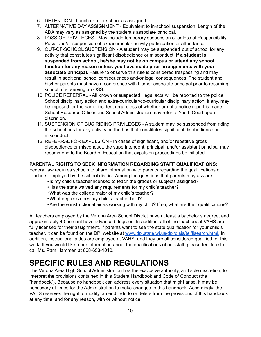- 6. DETENTION Lunch or after school as assigned.
- 7. ALTERNATIVE DAY ASSIGNMENT Equivalent to in-school suspension. Length of the ADA may vary as assigned by the student's associate principal.
- 8. LOSS OF PRIVILEGES May include temporary suspension of or loss of Responsibility Pass, and/or suspension of extracurricular activity participation or attendance.
- 9. OUT-OF-SCHOOL SUSPENSION A student may be suspended out of school for any activity that constitutes significant disobedience or misconduct. **If a student is suspended from school, he/she may not be on campus or attend any school function for any reason unless you have made prior arrangements with your associate principal.** Failure to observe this rule is considered trespassing and may result in additional school consequences and/or legal consequences. The student and his/her parents must have a conference with his/her associate principal prior to resuming school after serving an OSS.
- 10. POLICE REFERRAL All known or suspected illegal acts will be reported to the police. School disciplinary action and extra-curricular/co-curricular disciplinary action, if any, may be imposed for the same incident regardless of whether or not a police report is made. School Resource Officer and School Administration may refer to Youth Court upon discretion.
- 11. SUSPENSION OF BUS RIDING PRIVILEGES A student may be suspended from riding the school bus for any activity on the bus that constitutes significant disobedience or misconduct.
- 12. REFERRAL FOR EXPULSION In cases of significant, and/or repetitive gross disobedience or misconduct, the superintendent, principal, and/or assistant principal may recommend to the Board of Education that expulsion proceedings be initiated.

# **PARENTAL RIGHTS TO SEEK INFORMATION REGARDING STAFF QUALIFICATIONS:**

Federal law requires schools to share information with parents regarding the qualifications of teachers employed by the school district. Among the questions that parents may ask are:

- •Is my child's teacher licensed to teach the grades or subjects assigned?
- •Has the state waived any requirements for my child's teacher?
- •What was the college major of my child's teacher?
- •What degrees does my child's teacher hold?
- •Are there instructional aides working with my child? If so, what are their qualifications?

All teachers employed by the Verona Area School District have at least a bachelor's degree, and approximately 40 percent have advanced degrees. In addition, all of the teachers at VAHS are fully licensed for their assignment. If parents want to see the state qualification for your child's teacher, it can be found on the DPI website at [www.dpi.state.wi.us/dpi/dlsis/tel/lisearch.html.](https://dpi.wi.gov/sites/default/files/imce/title-i/pdf/esea_parent-right-to-teacher-info.pdf) In addition, instructional aides are employed at VAHS, and they are all considered qualified for this work. If you would like more information about the qualifications of our staff, please feel free to call Ms. Pam Hammen at 608-653-1010.

# **SPECIFIC RULES AND REGULATIONS**

The Verona Area High School Administration has the exclusive authority, and sole discretion, to interpret the provisions contained in this Student Handbook and Code of Conduct (the "handbook"). Because no handbook can address every situation that might arise, it may be necessary at times for the Administration to make changes to this handbook. Accordingly, the VAHS reserves the right to modify, amend, add to or delete from the provisions of this handbook at any time, and for any reason, with or without notice.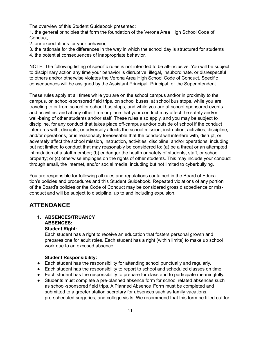The overview of this Student Guidebook presented:

1. the general principles that form the foundation of the Verona Area High School Code of Conduct,

- 2. our expectations for your behavior,
- 3. the rationale for the differences in the way in which the school day is structured for students
- 4. the potential consequences of inappropriate behavior.

NOTE: The following listing of specific rules is not intended to be all-inclusive. You will be subject to disciplinary action any time your behavior is disruptive, illegal, insubordinate, or disrespectful to others and/or otherwise violates the Verona Area High School Code of Conduct. Specific consequences will be assigned by the Assistant Principal, Principal, or the Superintendent.

These rules apply at all times while you are on the school campus and/or in proximity to the campus, on school-sponsored field trips, on school buses, at school bus stops, while you are traveling to or from school or school bus stops, and while you are at school-sponsored events and activities, and at any other time or place that your conduct may affect the safety and/or well-being of other students and/or staff. These rules also apply, and you may be subject to discipline, for any conduct that takes place off-campus and/or outside of school if the conduct interferes with, disrupts, or adversely affects the school mission, instruction, activities, discipline, and/or operations, or is reasonably foreseeable that the conduct will interfere with, disrupt, or adversely affect the school mission, instruction, activities, discipline, and/or operations, including but not limited to conduct that may reasonably be considered to: (a) be a threat or an attempted intimidation of a staff member; (b) endanger the health or safety of students, staff, or school property; or (c) otherwise impinges on the rights of other students. This may include your conduct through email, the Internet, and/or social media, including but not limited to cyberbullying.

You are responsible for following all rules and regulations contained in the Board of Education's policies and procedures and this Student Guidebook. Repeated violations of any portion of the Board's policies or the Code of Conduct may be considered gross disobedience or misconduct and will be subject to discipline, up to and including expulsion.

# **ATTENDANCE**

# **1. ABSENCES/TRUANCY ABSENCES: Student Right:**

Each student has a right to receive an education that fosters personal growth and prepares one for adult roles. Each student has a right (within limits) to make up school work due to an excused absence.

# **Student Responsibility:**

- Each student has the responsibility for attending school punctually and regularly.
- Each student has the responsibility to report to school and scheduled classes on time.
- Each student has the responsibility to prepare for class and to participate meaningfully.
- Students must complete a pre-planned absence form for school related absences such as school-sponsored field trips. A Planned Absence Form must be completed and submitted to a greeter station secretary for absences such as family vacations, pre-scheduled surgeries, and college visits. We recommend that this form be filled out for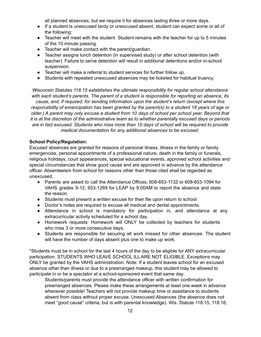all planned absences, but we require it for absences lasting three or more days.

- If a student is unexcused tardy or unexcused absent, student can expect some or all of the following:
- Teacher will meet with the student. Student remains with the teacher for up to 5 minutes of the 10 minute passing.
- Teacher will make contact with the parent/guardian.
- Teacher assigns lunch detention (in supervised study) or after school detention (with teacher). Failure to serve detention will result in additional detentions and/or in-school suspension.
- Teacher will make a referral to student services for further follow up.
- Students with repeated unexcused absences may be ticketed for habitual truancy.

*Wisconsin Statutes 118.15 establishes the ultimate responsibility for regular school attendance with each student's parents. The parent of a student is responsible for reporting an absence, its cause, and, if required, for sending information upon the student's return (except where this responsibility of emancipation has been granted by the parent(s) to a student 18 years of age or older.) A parent may only excuse a student from 10 days of school per school year. Beyond that it is at the discretion of the administrative team as to whether parentally excused days or periods are in fact excused. Students who miss more than 10 days of school will be required to provide medical documentation for any additional absences to be excused.*

#### **School Policy/Regulation:**

Excused absences are granted for reasons of personal illness, illness in the family or family emergencies, personal appointments of a professional nature, death in the family or funerals, religious holidays, court appearances, special educational events, approved school activities and special circumstances that show good cause and are approved in advance by the attendance officer. Absenteeism from school for reasons other than those cited shall be regarded as unexcused.

- Parents are asked to call the Attendance Offices, 608-653-1132 or 608-653-1094 for VAHS grades 9-12, 653-1269 for LEAP by 9:00AM to report the absence and state the reason.
- Students must present a written excuse for their file upon return to school.
- Doctor's notes are required to excuse all medical and dental appointments.
- Attendance in school is mandatory for participation in, and attendance at any extracurricular activity scheduled for a school day.
- Homework requests: Homework will ONLY be collected by teachers for students who miss 3 or more consecutive days.
- Students are responsible for securing all work missed for other absences. The student will have the number of days absent plus one to make up work.

\*Students must be in school for the last 4 hours of the day to be eligible for ANY extracurricular participation. STUDENTS WHO LEAVE SCHOOL ILL ARE NOT ELIGIBLE. Exceptions may ONLY be granted by the VAHS administration. Note: If a student leaves school for an excused absence other than illness or due to a prearranged makeup, this student may be allowed to participate in or be a spectator at a school-sponsored event that same day.

Students/parents must provide the attendance officer with written confirmation for prearranged absences. Please make these arrangements at least one week in advance whenever possible! Teachers will not provide makeup time or assistance to students absent from class without proper excuse. Unexcused Absences (the absence does not meet "good cause" criteria, but is with parental knowledge). Wis. Statute 118.15, 118.16,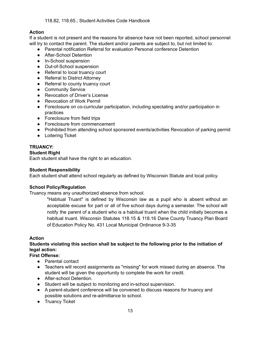118.82, 118.65.; Student Activities Code Handbook

# **Action**

If a student is not present and the reasons for absence have not been reported, school personnel will try to contact the parent. The student and/or parents are subject to, but not limited to:

- Parental notification Referral for evaluation Personal conference Detention
- After-School Detention
- In-School suspension
- Out-of-School suspension
- Referral to local truancy court
- Referral to District Attorney
- Referral to county truancy court
- Community Service
- Revocation of Driver's License
- Revocation of Work Permit
- Foreclosure on co-curricular participation, including spectating and/or participation in practices
- Foreclosure from field trips
- Foreclosure from commencement
- Prohibited from attending school sponsored events/activities Revocation of parking permit
- Loitering Ticket

# **TRUANCY:**

# **Student Right**

Each student shall have the right to an education.

# **Student Responsibility**

Each student shall attend school regularly as defined by Wisconsin Statute and local policy.

# **School Policy/Regulation**

Truancy means any unauthorized absence from school.

"Habitual Truant" is defined by Wisconsin law as a pupil who is absent without an acceptable excuse for part or all of five school days during a semester. The school will notify the parent of a student who is a habitual truant when the child initially becomes a habitual truant. Wisconsin Statutes 118.15 & 118.16 Dane County Truancy Plan Board of Education Policy No. 431 Local Municipal Ordinance 9-3-35

# **Action**

# **Students violating this section shall be subject to the following prior to the initiation of legal action:**

# **First Offense:**

- Parental contact
- Teachers will record assignments as "missing" for work missed during an absence. The student will be given the opportunity to complete the work for credit.
- After-school Detention.
- Student will be subject to monitoring and in-school supervision.
- A parent-student conference will be convened to discuss reasons for truancy and possible solutions and re-admittance to school.
- Truancy Ticket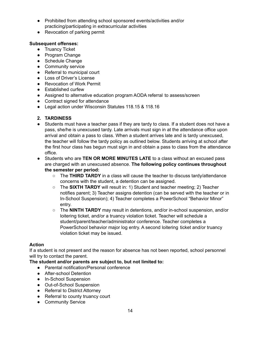- Prohibited from attending school sponsored events/activities and/or practicing/participating in extracurricular activities
- Revocation of parking permit

# **Subsequent offenses:**

- Truancy Ticket
- Program Change
- Schedule Change
- Community service
- Referral to municipal court
- Loss of Driver's License
- Revocation of Work Permit
- Established curfew
- Assigned to alternative education program AODA referral to assess/screen
- Contract signed for attendance
- Legal action under Wisconsin Statutes 118.15 & 118.16

# **2. TARDINESS**

- Students must have a teacher pass if they are tardy to class. If a student does not have a pass, she/he is unexcused tardy. Late arrivals must sign in at the attendance office upon arrival and obtain a pass to class. When a student arrives late and is tardy unexcused, the teacher will follow the tardy policy as outlined below. Students arriving at school after the first hour class has begun must sign in and obtain a pass to class from the attendance office.
- Students who are **TEN OR MORE MINUTES LATE** to a class without an excused pass are charged with an unexcused absence. **The following policy continues throughout the semester per period:**
	- The **THIRD TARDY** in a class will cause the teacher to discuss tardy/attendance concerns with the student, a detention can be assigned.
	- The **SIXTH TARDY** will result in: 1) Student and teacher meeting; 2) Teacher notifies parent; 3) Teacher assigns detention (can be served with the teacher or in In-School Suspension); 4) Teacher completes a PowerSchool "Behavior Minor" entry.
	- The **NINTH TARDY** may result in detentions, and/or in-school suspension, and/or loitering ticket, and/or a truancy violation ticket. Teacher will schedule a student/parent/teacher/administrator conference. Teacher completes a PowerSchool behavior major log entry. A second loitering ticket and/or truancy violation ticket may be issued.

# **Action**

If a student is not present and the reason for absence has not been reported, school personnel will try to contact the parent.

# **The student and/or parents are subject to, but not limited to:**

- Parental notification/Personal conference
- After-school Detention
- In-School Suspension
- Out-of-School Suspension
- Referral to District Attorney
- Referral to county truancy court
- Community Service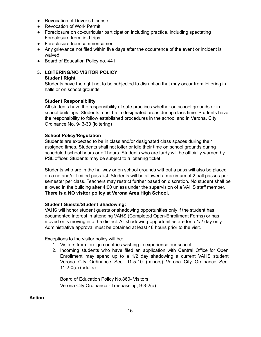- Revocation of Driver's License
- Revocation of Work Permit
- Foreclosure on co-curricular participation including practice, including spectating Foreclosure from field trips
- Foreclosure from commencement
- Any grievance not filed within five days after the occurrence of the event or incident is waived.
- Board of Education Policy no. 441

# **3. LOITERING/NO VISITOR POLICY Student Right**

Students have the right not to be subjected to disruption that may occur from loitering in halls or on school grounds.

# **Student Responsibility**

All students have the responsibility of safe practices whether on school grounds or in school buildings. Students must be in designated areas during class time. Students have the responsibility to follow established procedures in the school and in Verona. City Ordinance No. 9- 3-30 (loitering)

# **School Policy/Regulation**

Students are expected to be in class and/or designated class spaces during their assigned times. Students shall not loiter or idle their time on school grounds during scheduled school hours or off hours. Students who are tardy will be officially warned by PSL officer. Students may be subject to a loitering ticket.

Students who are in the hallway or on school grounds without a pass will also be placed on a no and/or limited pass list. Students will be allowed a maximum of 2 hall passes per semester per class. Teachers may restrict further based on discretion. No student shall be allowed in the building after 4:00 unless under the supervision of a VAHS staff member. **There is a NO visitor policy at Verona Area High School.**

#### **Student Guests/Student Shadowing:**

VAHS will honor student guests or shadowing opportunities only if the student has documented interest in attending VAHS (Completed Open-Enrollment Forms) or has moved or is moving into the district. All shadowing opportunities are for a 1/2 day only. Administrative approval must be obtained at least 48 hours prior to the visit.

Exceptions to the visitor policy will be:

- 1. Visitors from foreign countries wishing to experience our school
- 2. Incoming students who have filed an application with Central Office for Open Enrollment may spend up to a 1/2 day shadowing a current VAHS student Verona City Ordinance Sec. 11-5-10 (minors) Verona City Ordinance Sec. 11-2-0(c) (adults)

Board of Education Policy No.860- Visitors Verona City Ordinance - Trespassing, 9-3-2(a)

**Action**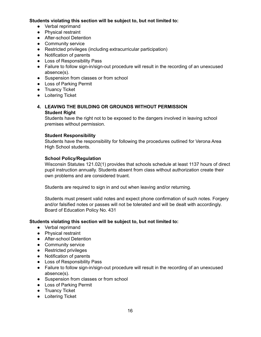#### **Students violating this section will be subject to, but not limited to:**

- Verbal reprimand
- Physical restraint
- After-school Detention
- Community service
- Restricted privileges (including extracurricular participation)
- Notification of parents
- Loss of Responsibility Pass
- Failure to follow sign-in/sign-out procedure will result in the recording of an unexcused absence(s).
- Suspension from classes or from school
- Loss of Parking Permit
- Truancy Ticket
- Loitering Ticket

#### **4. LEAVING THE BUILDING OR GROUNDS WITHOUT PERMISSION Student Right**

Students have the right not to be exposed to the dangers involved in leaving school premises without permission.

#### **Student Responsibility**

Students have the responsibility for following the procedures outlined for Verona Area High School students.

#### **School Policy/Regulation**

Wisconsin Statutes 121.02(1) provides that schools schedule at least 1137 hours of direct pupil instruction annually. Students absent from class without authorization create their own problems and are considered truant.

Students are required to sign in and out when leaving and/or returning.

Students must present valid notes and expect phone confirmation of such notes. Forgery and/or falsified notes or passes will not be tolerated and will be dealt with accordingly. Board of Education Policy No. 431

#### **Students violating this section will be subject to, but not limited to:**

- Verbal reprimand
- Physical restraint
- After-school Detention
- Community service
- Restricted privileges
- Notification of parents
- Loss of Responsibility Pass
- Failure to follow sign-in/sign-out procedure will result in the recording of an unexcused absence(s).
- Suspension from classes or from school
- Loss of Parking Permit
- Truancy Ticket
- Loitering Ticket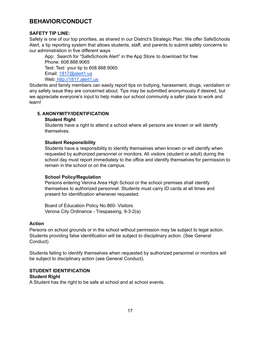# **BEHAVIOR/CONDUCT**

# **SAFETY TIP LINE:**

Safety is one of our top priorities, as shared in our District's Strategic Plan. We offer SafeSchools Alert, a tip reporting system that allows students, staff, and parents to submit safety concerns to our administration in five different ways

App: Search for "SafeSchools Alert" in the App Store to download for free Phone: 608.888.9065 Text: Text your tip to 608.888.9065 Email: [1817@alert1.us](mailto:1817@alert1.us) Web: [http://1817.alert1.us](http://1817.alert1.us/)

Students and family members can easily report tips on bullying, harassment, drugs, vandalism or any safety issue they are concerned about. Tips may be submitted anonymously if desired, but we appreciate everyone's input to help make our school community a safer place to work and learn!

#### **5. ANONYMITY/IDENTIFICATION**

#### **Student Right**

Students have a right to attend a school where all persons are known or will identify themselves.

#### **Student Responsibility**

Students have a responsibility to identify themselves when known or will identify when requested by authorized personnel or monitors. All visitors (student or adult) during the school day must report immediately to the office and identify themselves for permission to remain in the school or on the campus.

#### **School Policy/Regulation**

Persons entering Verona Area High School or the school premises shall identify themselves to authorized personnel. Students must carry ID cards at all times and present for identification whenever requested.

Board of Education Policy No.860- Visitors Verona City Ordinance - Trespassing, 9-3-2(a)

#### **Action**

Persons on school grounds or in the school without permission may be subject to legal action. Students providing false identification will be subject to disciplinary action. (See General Conduct)

Students failing to identify themselves when requested by authorized personnel or monitors will be subject to disciplinary action (see General Conduct).

#### **STUDENT IDENTIFICATION**

#### **Student Right**

A Student has the right to be safe at school and at school events.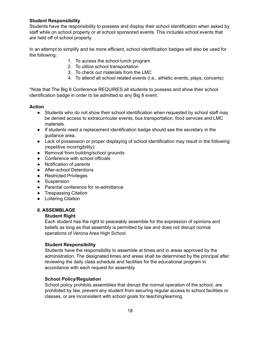# **Student Responsibility**

Students have the responsibility to possess and display their school identification when asked by staff while on school property or at school sponsored events. This includes school events that are held off of school property.

In an attempt to simplify and be more efficient, school identification badges will also be used for the following:

- 1. To access the school lunch program
- 2. To utilize school transportation
- 3. To check out materials from the LMC
- 4. To attend all school related events (i.e., athletic events, plays, concerts)

\*Note that The Big 8 Conference REQUIRES all students to possess and show their school identification badge in order to be admitted to any Big 8 event.

#### **Action**

- Students who do not show their school identification when requested by school staff may be denied access to extracurricular events, bus transportation, food services and LMC materials.
- If students need a replacement identification badge should see the secretary in the guidance area.
- Lack of possession or proper displaying of school identification may result in the following (repetitive incorrigibility):
- Removal from building/school grounds
- Conference with school officials
- Notification of parents
- After-school Detentions
- Restricted Privileges
- Suspension
- Parental conference for re-admittance
- Trespassing Citation
- Loitering Citation

# **6. ASSEMBLAGE**

#### **Student Right**

Each student has the right to peaceably assemble for the expression of opinions and beliefs as long as that assembly is permitted by law and does not disrupt normal operations of Verona Area High School.

#### **Student Responsibility**

Students have the responsibility to assemble at times and in areas approved by the administration. The designated times and areas shall be determined by the principal after reviewing the daily class schedule and facilities for the educational program in accordance with each request for assembly.

#### **School Policy/Regulation**

School policy prohibits assemblies that disrupt the normal operation of the school, are prohibited by law, prevent any student from securing regular access to school facilities or classes, or are inconsistent with school goals for teaching/learning.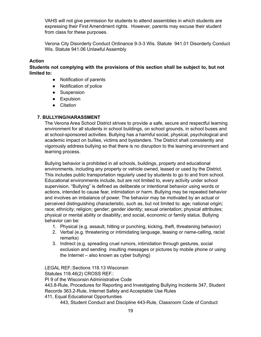VAHS will not give permission for students to attend assemblies in which students are expressing their First Amendment rights. However, parents may excuse their student from class for these purposes.

Verona City Disorderly Conduct Ordinance 9-3-3 Wis. Statute 941.01 Disorderly Conduct Wis. Statute 941.06 Unlawful Assembly

# **Action**

**Students not complying with the provisions of this section shall be subject to, but not limited to:**

- Notification of parents
- Notification of police
- Suspension
- **•** Expulsion
- Citation

# **7. BULLYING/HARASSMENT**

The Verona Area School District strives to provide a safe, secure and respectful learning environment for all students in school buildings, on school grounds, in school buses and at school-sponsored activities. Bullying has a harmful social, physical, psychological and academic impact on bullies, victims and bystanders. The District shall consistently and vigorously address bullying so that there is no disruption to the learning environment and learning process.

Bullying behavior is prohibited in all schools, buildings, property and educational environments, including any property or vehicle owned, leased or used by the District. This includes public transportation regularly used by students to go to and from school. Educational environments include, but are not limited to, every activity under school supervision. "Bullying" is defined as deliberate or intentional behavior using words or actions, intended to cause fear, intimidation or harm. Bullying may be repeated behavior and involves an imbalance of power. The behavior may be motivated by an actual or perceived distinguishing characteristic, such as, but not limited to: age; national origin; race; ethnicity; religion; gender; gender identity; sexual orientation; physical attributes; physical or mental ability or disability; and social, economic or family status. Bullying behavior can be:

- 1. Physical (e.g. assault, hitting or punching, kicking, theft, threatening behavior)
- 2. Verbal (e.g. threatening or intimidating language, teasing or name-calling, racist remarks)
- 3. Indirect (e.g. spreading cruel rumors, intimidation through gestures, social exclusion and sending insulting messages or pictures by mobile phone or using the Internet – also known as cyber bullying)

LEGAL REF.:Sections 118.13 Wisconsin

Statutes 118.46(2) CROSS REF.:

PI 9 of the Wisconsin Administrative Code

443.8-Rule, Procedures for Reporting and Investigating Bullying Incidents 347, Student Records 363.2-Rule, Internet Safety and Acceptable Use Rules

411, Equal Educational Opportunities

443, Student Conduct and Discipline 443-Rule, Classroom Code of Conduct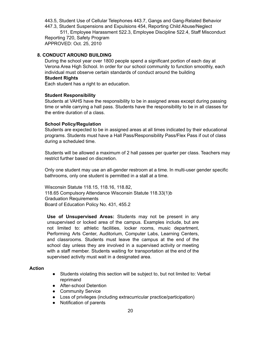443.5, Student Use of Cellular Telephones 443.7, Gangs and Gang-Related Behavior 447.3, Student Suspensions and Expulsions 454, Reporting Child Abuse/Neglect

511, Employee Harassment 522.3, Employee Discipline 522.4, Staff Misconduct Reporting 720, Safety Program APPROVED: Oct. 25, 2010

#### **8. CONDUCT AROUND BUILDING**

During the school year over 1800 people spend a significant portion of each day at Verona Area High School. In order for our school community to function smoothly, each individual must observe certain standards of conduct around the building

#### **Student Rights**

Each student has a right to an education.

#### **Student Responsibility**

Students at VAHS have the responsibility to be in assigned areas except during passing time or while carrying a hall pass. Students have the responsibility to be in all classes for the entire duration of a class.

#### **School Policy/Regulation**

Students are expected to be in assigned areas at all times indicated by their educational programs. Students must have a Hall Pass/Responsibility Pass/Flex Pass if out of class during a scheduled time.

Students will be allowed a maximum of 2 hall passes per quarter per class. Teachers may restrict further based on discretion.

Only one student may use an all-gender restroom at a time. In multi-user gender specific bathrooms, only one student is permitted in a stall at a time.

Wisconsin Statute 118.15, 118.16, 118.82, 118.65 Compulsory Attendance Wisconsin Statute 118.33(1)b Graduation Requirements Board of Education Policy No. 431, 455.2

**Use of Unsupervised Areas:** Students may not be present in any unsupervised or locked area of the campus. Examples include, but are not limited to: athletic facilities, locker rooms, music department, Performing Arts Center, Auditorium, Computer Labs, Learning Centers, and classrooms. Students must leave the campus at the end of the school day unless they are involved in a supervised activity or meeting with a staff member. Students waiting for transportation at the end of the supervised activity must wait in a designated area.

#### **Action**

- Students violating this section will be subject to, but not limited to: Verbal reprimand
- After-school Detention
- Community Service
- Loss of privileges (including extracurricular practice/participation)
- Notification of parents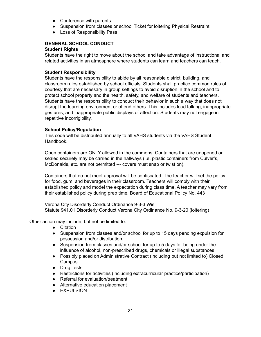- Conference with parents
- Suspension from classes or school Ticket for loitering Physical Restraint
- Loss of Responsibility Pass

# **GENERAL SCHOOL CONDUCT**

#### **Student Rights**

Students have the right to move about the school and take advantage of instructional and related activities in an atmosphere where students can learn and teachers can teach.

# **Student Responsibility**

Students have the responsibility to abide by all reasonable district, building, and classroom rules established by school officials. Students shall practice common rules of courtesy that are necessary in group settings to avoid disruption in the school and to protect school property and the health, safety, and welfare of students and teachers. Students have the responsibility to conduct their behavior in such a way that does not disrupt the learning environment or offend others. This includes loud talking, inappropriate gestures, and inappropriate public displays of affection. Students may not engage in repetitive incorrigibility.

# **School Policy/Regulation**

This code will be distributed annually to all VAHS students via the VAHS Student Handbook.

Open containers are ONLY allowed in the commons. Containers that are unopened or sealed securely may be carried in the hallways (i.e. plastic containers from Culver's, McDonalds, etc. are not permitted --- covers must snap or twist on).

Containers that do not meet approval will be confiscated. The teacher will set the policy for food, gum, and beverages in their classroom. Teachers will comply with their established policy and model the expectation during class time. A teacher may vary from their established policy during prep time. Board of Educational Policy No. 443

Verona City Disorderly Conduct Ordinance 9-3-3 Wis. Statute 941.01 Disorderly Conduct Verona City Ordinance No. 9-3-20 (loitering)

Other action may include, but not be limited to:

- Citation
- Suspension from classes and/or school for up to 15 days pending expulsion for possession and/or distribution.
- Suspension from classes and/or school for up to 5 days for being under the influence of alcohol, non-prescribed drugs, chemicals or illegal substances.
- Possibly placed on Administrative Contract (including but not limited to) Closed **Campus**
- Drug Tests
- Restrictions for activities (including extracurricular practice/participation)
- Referral for evaluation/treatment
- Alternative education placement
- **•** EXPULSION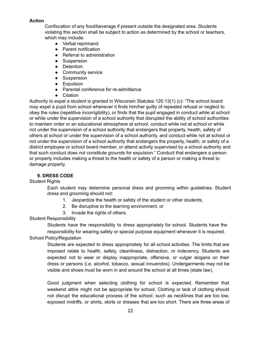# **Action**

Confiscation of any food/beverage if present outside the designated area. Students violating this section shall be subject to action as determined by the school or teachers, which may include:

- Verbal reprimand
- Parent notification
- Referral to administration
- Suspension
- Detention
- Community service
- Suspension
- **•** Expulsion
- Parental conference for re-admittance
- Citation

Authority to expel a student is granted in Wisconsin Statutes 120.13(1) (c): "The school board may expel a pupil from school whenever it finds him/her guilty of repeated refusal or neglect to obey the rules (repetitive incorrigibility), or finds that the pupil engaged in conduct while at school or while under the supervision of a school authority that disrupted the ability of school authorities to maintain order or an educational atmosphere at school, conduct while not at school or while not under the supervision of a school authority that endangers that property, health, safety of others at school or under the supervision of a school authority, and conduct while not at school or not under the supervision of a school authority that endangers the property, health, or safety of a district employee or school board member, or attend activity supervised by a school authority and that such conduct does not constitute grounds for expulsion." Conduct that endangers a person or property includes making a threat to the health or safety of a person or making a threat to damage property.

# **9. DRESS CODE**

Student Rights

Each student may determine personal dress and grooming within guidelines. Student dress and grooming should not:

- 1. Jeopardize the health or safety of the student or other students,
- 2. Be disruptive to the learning environment, or
- 3. Invade the rights of others.

Student Responsibility

Students have the responsibility to dress appropriately for school. Students have the responsibility for wearing safety or special purpose equipment whenever it is required.

#### School Policy/Regulation

Students are expected to dress appropriately for all school activities. The limits that are imposed relate to health, safety, cleanliness, distraction, or indecency. Students are expected not to wear or display inappropriate, offensive, or vulgar slogans on their dress or persons (i.e. alcohol, tobacco, sexual innuendos). Undergarments may not be visible and shoes must be worn in and around the school at all times (state law).

Good judgment when selecting clothing for school is expected. Remember that weekend attire might not be appropriate for school. Clothing or lack of clothing should not disrupt the educational process of the school; such as necklines that are too low, exposed midriffs, or shirts, skirts or dresses that are too short. There are three areas of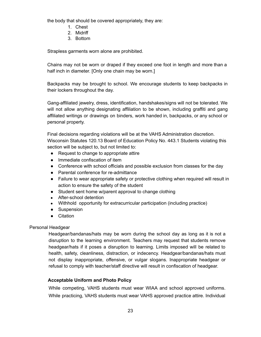the body that should be covered appropriately, they are:

- 1. Chest
- 2. Midriff
- 3. Bottom

Strapless garments worn alone are prohibited.

Chains may not be worn or draped if they exceed one foot in length and more than a half inch in diameter. [Only one chain may be worn.]

Backpacks may be brought to school. We encourage students to keep backpacks in their lockers throughout the day.

Gang-affiliated jewelry, dress, identification, handshakes/signs will not be tolerated. We will not allow anything designating affiliation to be shown, including graffiti and gang affiliated writings or drawings on binders, work handed in, backpacks, or any school or personal property.

Final decisions regarding violations will be at the VAHS Administration discretion. Wisconsin Statutes 120.13 Board of Education Policy No. 443.1 Students violating this section will be subject to, but not limited to:

- Request to change to appropriate attire
- Immediate confiscation of item
- Conference with school officials and possible exclusion from classes for the day
- Parental conference for re-admittance
- Failure to wear appropriate safety or protective clothing when required will result in action to ensure the safety of the student
- Student sent home w/parent approval to change clothing
- After-school detention
- Withhold opportunity for extracurricular participation (including practice)
- Suspension
- Citation

#### Personal Headgear

Headgear/bandanas/hats may be worn during the school day as long as it is not a disruption to the learning environment. Teachers may request that students remove headgear/hats if it poses a disruption to learning. Limits imposed will be related to health, safety, cleanliness, distraction, or indecency. Headgear/bandanas/hats must not display inappropriate, offensive, or vulgar slogans. Inappropriate headgear or refusal to comply with teacher/staff directive will result in confiscation of headgear.

#### **Acceptable Uniform and Photo Policy**

While competing, VAHS students must wear WIAA and school approved uniforms. While practicing, VAHS students must wear VAHS approved practice attire. Individual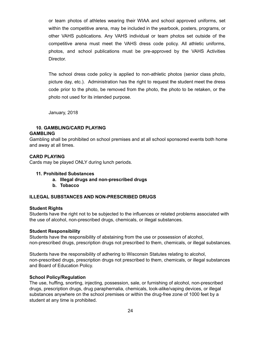or team photos of athletes wearing their WIAA and school approved uniforms, set within the competitive arena, may be included in the yearbook, posters, programs, or other VAHS publications. Any VAHS individual or team photos set outside of the competitive arena must meet the VAHS dress code policy. All athletic uniforms, photos, and school publications must be pre-approved by the VAHS Activities Director.

The school dress code policy is applied to non-athletic photos (senior class photo, picture day, etc.). Administration has the right to request the student meet the dress code prior to the photo, be removed from the photo, the photo to be retaken, or the photo not used for its intended purpose.

January, 2018

# **10. GAMBLING/CARD PLAYING**

#### **GAMBLING**

Gambling shall be prohibited on school premises and at all school sponsored events both home and away at all times.

#### **CARD PLAYING**

Cards may be played ONLY during lunch periods.

#### **11. Prohibited Substances**

- **a. Illegal drugs and non-prescribed drugs**
- **b. Tobacco**

#### **ILLEGAL SUBSTANCES AND NON-PRESCRIBED DRUGS**

#### **Student Rights**

Students have the right not to be subjected to the influences or related problems associated with the use of alcohol, non-prescribed drugs, chemicals, or illegal substances.

#### **Student Responsibility**

Students have the responsibility of abstaining from the use or possession of alcohol, non-prescribed drugs, prescription drugs not prescribed to them, chemicals, or illegal substances.

Students have the responsibility of adhering to Wisconsin Statutes relating to alcohol, non-prescribed drugs, prescription drugs not prescribed to them, chemicals, or illegal substances and Board of Education Policy.

#### **School Policy/Regulation**

The use, huffing, snorting, injecting, possession, sale, or furnishing of alcohol, non-prescribed drugs, prescription drugs, drug paraphernalia, chemicals, look-alike/vaping devices, or illegal substances anywhere on the school premises or within the drug-free zone of 1000 feet by a student at any time is prohibited.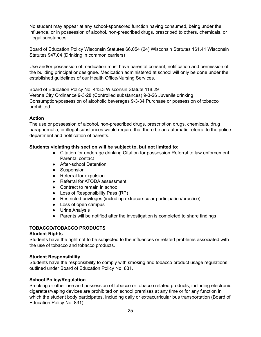No student may appear at any school-sponsored function having consumed, being under the influence, or in possession of alcohol, non-prescribed drugs, prescribed to others, chemicals, or illegal substances.

Board of Education Policy Wisconsin Statutes 66.054 (24) Wisconsin Statutes 161.41 Wisconsin Statutes 947.04 (Drinking in common carriers)

Use and/or possession of medication must have parental consent, notification and permission of the building principal or designee. Medication administered at school will only be done under the established guidelines of our Health Office/Nursing Services.

Board of Education Policy No. 443.3 Wisconsin Statute 118.29 Verona City Ordinance 9-3-28 (Controlled substances) 9-3-26 Juvenile drinking Consumption/possession of alcoholic beverages 9-3-34 Purchase or possession of tobacco prohibited

#### **Action**

The use or possession of alcohol, non-prescribed drugs, prescription drugs, chemicals, drug paraphernalia, or illegal substances would require that there be an automatic referral to the police department and notification of parents.

# **Students violating this section will be subject to, but not limited to:**

- Citation for underage drinking Citation for possession Referral to law enforcement Parental contact
- After-school Detention
- Suspension
- Referral for expulsion
- Referral for ATODA assessment
- Contract to remain in school
- Loss of Responsibility Pass (RP)
- Restricted privileges (including extracurricular participation/practice)
- Loss of open campus
- Urine Analysis
- Parents will be notified after the investigation is completed to share findings

# **TOBACCO/TOBACCO PRODUCTS**

#### **Student Rights**

Students have the right not to be subjected to the influences or related problems associated with the use of tobacco and tobacco products.

#### **Student Responsibility**

Students have the responsibility to comply with smoking and tobacco product usage regulations outlined under Board of Education Policy No. 831.

#### **School Policy/Regulation**

Smoking or other use and possession of tobacco or tobacco related products, including electronic cigarettes/vaping devices are prohibited on school premises at any time or for any function in which the student body participates, including daily or extracurricular bus transportation (Board of Education Policy No. 831).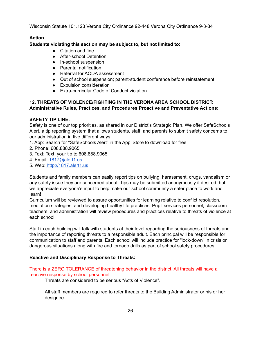Wisconsin Statute 101.123 Verona City Ordinance 92-448 Verona City Ordinance 9-3-34

# **Action**

# **Students violating this section may be subject to, but not limited to:**

- Citation and fine
- After-school Detention
- In-school suspension
- Parental notification
- Referral for AODA assessment
- Out of school suspension; parent-student conference before reinstatement
- Expulsion consideration
- Extra-curricular Code of Conduct violation

# **12. THREATS OF VIOLENCE/FIGHTING IN THE VERONA AREA SCHOOL DISTRICT: Administrative Rules, Practices, and Procedures Proactive and Preventative Actions:**

# **SAFETY TIP LINE:**

Safety is one of our top priorities, as shared in our District's Strategic Plan. We offer SafeSchools Alert, a tip reporting system that allows students, staff, and parents to submit safety concerns to our administration in five different ways

- 1. App: Search for "SafeSchools Alert" in the App Store to download for free
- 2. Phone: 608.888.9065
- 3. Text: Text your tip to 608.888.9065
- 4. Email: [1817@alert1.us](mailto:1817@alert1.us)
- 5. Web: <http://1817.alert1.us>

Students and family members can easily report tips on bullying, harassment, drugs, vandalism or any safety issue they are concerned about. Tips may be submitted anonymously if desired, but we appreciate everyone's input to help make our school community a safer place to work and learn!

Curriculum will be reviewed to assure opportunities for learning relative to conflict resolution, mediation strategies, and developing healthy life practices. Pupil services personnel, classroom teachers, and administration will review procedures and practices relative to threats of violence at each school.

Staff in each building will talk with students at their level regarding the seriousness of threats and the importance of reporting threats to a responsible adult. Each principal will be responsible for communication to staff and parents. Each school will include practice for "lock-down" in crisis or dangerous situations along with fire and tornado drills as part of school safety procedures.

# **Reactive and Disciplinary Response to Threats:**

There is a ZERO TOLERANCE of threatening behavior in the district. All threats will have a reactive response by school personnel.

Threats are considered to be serious "Acts of Violence".

All staff members are required to refer threats to the Building Administrator or his or her designee.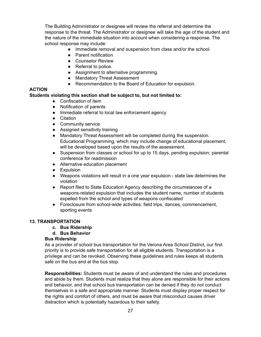The Building Administrator or designee will review the referral and determine the response to the threat. The Administrator or designee will take the age of the student and the nature of the immediate situation into account when considering a response. The school response may include:

- Immediate removal and suspension from class and/or the school.
- Parent notification
- Counselor Review
- Referral to police.
- Assignment to alternative programming.
- Mandatory Threat Assessment
- Recommendation to the Board of Education for expulsion.

#### **ACTION**

#### **Students violating this section shall be subject to, but not limited to:**

- Confiscation of item
- Notification of parents
- Immediate referral to local law enforcement agency
- Citation
- Community service
- Assigned sensitivity training
- Mandatory Threat Assessment will be completed during the suspension. Educational Programming, which may include change of educational placement, will be developed based upon the results of the assessment.
- Suspension from classes or school for up to 15 days, pending expulsion; parental conference for readmission
- Alternative education placement
- Expulsion
- Weapons violations will result in a one year expulsion state law determines the violation
- Report filed to State Education Agency describing the circumstances of a weapons-related expulsion that includes the student name, number of students expelled from the school and types of weapons confiscated
- Foreclosure from school-wide activities: field trips, dances, commencement, sporting events

#### **13. TRANSPORTATION**

- **c. Bus Ridership**
- **d. Bus Behavior**

#### **Bus Ridership**

As a provider of school bus transportation for the Verona Area School District, our first priority is to provide safe transportation for all eligible students. Transportation is a privilege and can be revoked. Observing these guidelines and rules keeps all students safe on the bus and at the bus stop.

**Responsibilities:** Students must be aware of and understand the rules and procedures and abide by them. Students must realize that they alone are responsible for their actions and behavior, and that school bus transportation can be denied if they do not conduct themselves in a safe and appropriate manner. Students must display proper respect for the rights and comfort of others, and must be aware that misconduct causes driver distraction which is potentially hazardous to their safety.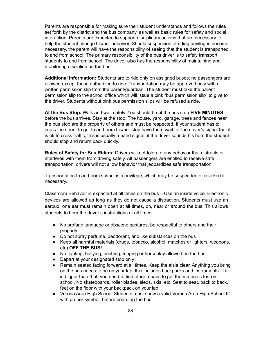Parents are responsible for making sure their student understands and follows the rules set forth by the district and the bus company, as well as basic rules for safety and social interaction. Parents are expected to support disciplinary actions that are necessary to help the student change his/her behavior. Should suspension of riding privileges become necessary, the parent will have the responsibility of seeing that the student is transported to and from school. The primary responsibility of the bus driver is to safely transport students to and from school. The driver also has the responsibility of maintaining and monitoring discipline on the bus.

**Additional Information:** Students are to ride only on assigned buses; no passengers are allowed except those authorized to ride. Transportation may be approved only with a written permission slip from the parent/guardian. The student must take the parent permission slip to the school office which will issue a pink "bus permission slip" to give to the driver. Students without pink bus permission slips will be refused a ride.

**At the Bus Stop:** Walk and wait safely. You should be at the bus stop **FIVE MINUTES** before the bus arrives. Stay at the stop. The house, yard, garage, trees and fences near the bus stop are the property of others and must be respected. If your student has to cross the street to get to and from his/her stop have them wait for the driver's signal that it is ok to cross traffic, this is usually a hand signal, if the driver sounds his horn the student should stop and return back quickly.

**Rules of Safety for Bus Riders:** Drivers will not tolerate any behavior that distracts or interferes with them from driving safely. All passengers are entitled to receive safe transportation; drivers will not allow behavior that jeopardizes safe transportation.

Transportation to and from school is a privilege, which may be suspended or revoked if necessary.

Classroom Behavior is expected at all times on the bus – Use an inside voice. Electronic devices are allowed as long as they do not cause a distraction. Students must use an earbud; one ear must remain open at all times, on, near or around the bus. This allows students to hear the driver's instructions at all times.

- No profane language or obscene gestures, be respectful to others and their property
- Do not spray perfume, deodorant, and like substances on the bus
- Keep all harmful materials (drugs, tobacco, alcohol, matches or lighters, weapons, etc) **OFF THE BUS!**
- No fighting, bullying, pushing, tripping or horseplay allowed on the bus
- Depart at your designated stop only
- Remain seated facing forward at all times. Keep the aisle clear. Anything you bring on the bus needs to be on your lap, this includes backpacks and instruments. If it is bigger than that, you need to find other means to get the materials to/from school. No skateboards, roller blades, sleds, skis, etc. Seat to seat, back to back, feet on the floor with your backpack on your lap!
- Verona Area High School Students must show a valid Verona Area High School ID with proper symbol, before boarding the bus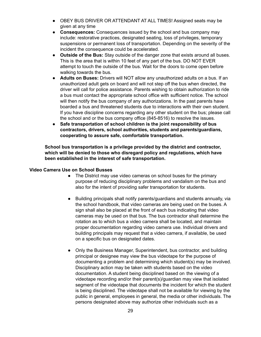- OBEY BUS DRIVER OR ATTENDANT AT ALL TIMES! Assigned seats may be given at any time
- **Consequences:** Consequences issued by the school and bus company may include: restorative practices, designated seating, loss of privileges, temporary suspensions or permanent loss of transportation. Depending on the severity of the incident the consequence could be accelerated.
- **Outside of the Bus:** Stay outside of the danger zone that exists around all buses. This is the area that is within 10 feet of any part of the bus. DO NOT EVER attempt to touch the outside of the bus. Wait for the doors to come open before walking towards the bus.
- **Adults on Buses:** Drivers will NOT allow any unauthorized adults on a bus. If an unauthorized adult gets on board and will not step off the bus when directed, the driver will call for police assistance. Parents wishing to obtain authorization to ride a bus must contact the appropriate school office with sufficient notice. The school will then notify the bus company of any authorizations. In the past parents have boarded a bus and threatened students due to interactions with their own student. If you have discipline concerns regarding any other student on the bus; please call the school and or the bus company office (845-8516) to resolve the issues.
- **● Safe transportation of school children is the joint responsibility of bus contractors, drivers, school authorities, students and parents/guardians, cooperating to assure safe, comfortable transportation.**

**School bus transportation is a privilege provided by the district and contractor, which will be denied to those who disregard policy and regulations, which have been established in the interest of safe transportation.**

#### **Video Camera Use on School Busses**

- The District may use video cameras on school buses for the primary purpose of reducing disciplinary problems and vandalism on the bus and also for the intent of providing safer transportation for students.
- Building principals shall notify parents/guardians and students annually, via the school handbook, that video cameras are being used on the buses. A sign shall also be placed at the front of each bus indicating that video cameras may be used on that bus. The bus contractor shall determine the rotation as to which bus a video camera shall be located, and maintain proper documentation regarding video camera use. Individual drivers and building principals may request that a video camera, if available, be used on a specific bus on designated dates.
- Only the Business Manager, Superintendent, bus contractor, and building principal or designee may view the bus videotape for the purpose of documenting a problem and determining which student(s) may be involved. Disciplinary action may be taken with students based on the video documentation. A student being disciplined based on the viewing of a videotape recording and/or their parent(s)/guardian may view that isolated segment of the videotape that documents the incident for which the student is being disciplined. The videotape shall not be available for viewing by the public in general, employees in general, the media or other individuals. The persons designated above may authorize other individuals such as a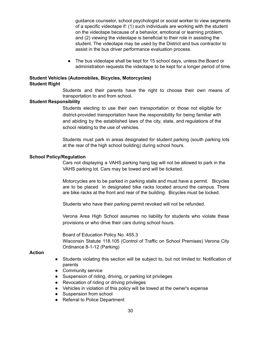guidance counselor, school psychologist or social worker to view segments of a specific videotape if: (1) such individuals are working with the student on the videotape because of a behavior, emotional or learning problem, and (2) viewing the videotape is beneficial to their role in assisting the student. The videotape may be used by the District and bus contractor to assist in the bus driver performance evaluation process.

● The bus videotape shall be kept for 15 school days, unless the Board or administration requests the videotape to be kept for a longer period of time.

#### **Student Vehicles (Automobiles, Bicycles, Motorcycles) Student Right**

Students and their parents have the right to choose their own means of transportation to and from school.

#### **Student Responsibility**

Students electing to use their own transportation or those not eligible for district-provided transportation have the responsibility for being familiar with and abiding by the established laws of the city, state, and regulations of the school relating to the use of vehicles.

Students must park in areas designated for student parking (south parking lots at the rear of the high school building) during school hours.

#### **School Policy/Regulation**

Cars not displaying a VAHS parking hang tag will not be allowed to park in the VAHS parking lot. Cars may be towed and will be ticketed.

Motorcycles are to be parked in parking stalls and must have a permit. Bicycles are to be placed in designated bike racks located around the campus. There are bike racks at the front and rear of the building. Bicycles must be locked.

Students who have their parking permit revoked will not be refunded.

Verona Area High School assumes no liability for students who violate these provisions or who drive their cars during school hours.

Board of Education Policy No. 455.3

Wisconsin Statute 118.105 (Control of Traffic on School Premises) Verona City Ordinance 8-1-12 (Parking)

#### **Action**

- Students violating this section will be subject to, but not limited to: Notification of parents
- Community service
- Suspension of riding, driving, or parking lot privileges
- Revocation of riding or driving privileges
- Vehicles in violation of this policy will be towed at the owner's expense
- Suspension from school
- Referral to Police Department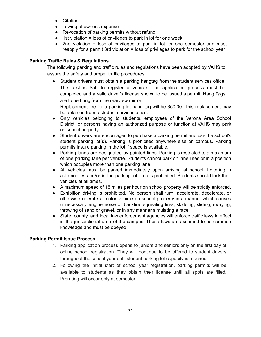- Citation
- Towing at owner's expense
- Revocation of parking permits without refund
- $\bullet$  1st violation = loss of privileges to park in lot for one week
- 2nd violation = loss of privileges to park in lot for one semester and must reapply for a permit 3rd violation = loss of privileges to park for the school year

# **Parking Traffic Rules & Regulations**

The following parking and traffic rules and regulations have been adopted by VAHS to assure the safety and proper traffic procedures:

● Student drivers must obtain a parking hangtag from the student services office. The cost is \$50 to register a vehicle. The application process must be completed and a valid driver's license shown to be issued a permit. Hang Tags are to be hung from the rearview mirror.

Replacement fee for a parking lot hang tag will be \$50.00. This replacement may be obtained from a student services office.

- Only vehicles belonging to students, employees of the Verona Area School District, or persons having an authorized purpose or function at VAHS may park on school property.
- Student drivers are encouraged to purchase a parking permit and use the school's student parking lot(s). Parking is prohibited anywhere else on campus. Parking permits insure parking in the lot if space is available.
- Parking lanes are designated by painted lines. Parking is restricted to a maximum of one parking lane per vehicle. Students cannot park on lane lines or in a position which occupies more than one parking lane.
- All vehicles must be parked immediately upon arriving at school. Loitering in automobiles and/or in the parking lot area is prohibited. Students should lock their vehicles at all times.
- A maximum speed of 15 miles per hour on school property will be strictly enforced.
- Exhibition driving is prohibited. No person shall turn, accelerate, decelerate, or otherwise operate a motor vehicle on school property in a manner which causes unnecessary engine noise or backfire, squealing tires, skidding, sliding, swaying, throwing of sand or gravel, or in any manner simulating a race.
- State, county, and local law enforcement agencies will enforce traffic laws in effect in the jurisdictional area of the campus. These laws are assumed to be common knowledge and must be obeyed.

# **Parking Permit Issue Process**

- 1. Parking application process opens to juniors and seniors only on the first day of online school registration. They will continue to be offered to student drivers throughout the school year until student parking lot capacity is reached.
- 2. Following the initial start of school year registration, parking permits will be available to students as they obtain their license until all spots are filled. Prorating will occur only at semester.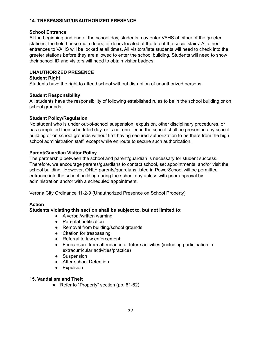#### **14. TRESPASSING/UNAUTHORIZED PRESENCE**

#### **School Entrance**

At the beginning and end of the school day, students may enter VAHS at either of the greeter stations, the field house main doors, or doors located at the top of the social stairs. All other entrances to VAHS will be locked at all times. All visitors/late students will need to check into the greeter stations before they are allowed to enter the school building. Students will need to show their school ID and visitors will need to obtain visitor badges.

# **UNAUTHORIZED PRESENCE**

#### **Student Right**

Students have the right to attend school without disruption of unauthorized persons.

#### **Student Responsibility**

All students have the responsibility of following established rules to be in the school building or on school grounds.

# **Student Policy/Regulation**

No student who is under out-of-school suspension, expulsion, other disciplinary procedures, or has completed their scheduled day, or is not enrolled in the school shall be present in any school building or on school grounds without first having secured authorization to be there from the high school administration staff, except while en route to secure such authorization.

# **Parent/Guardian Visitor Policy**

The partnership between the school and parent/guardian is necessary for student success. Therefore, we encourage parents/guardians to contact school, set appointments, and/or visit the school building. However, ONLY parents/guardians listed in PowerSchool will be permitted entrance into the school building during the school day unless with prior approval by administration and/or with a scheduled appointment.

Verona City Ordinance 11-2-9 (Unauthorized Presence on School Property)

# **Action**

# **Students violating this section shall be subject to, but not limited to:**

- A verbal/written warning
- Parental notification
- Removal from building/school grounds
- Citation for trespassing
- Referral to law enforcement
- Foreclosure from attendance at future activities (including participation in extracurricular activities/practice)
- Suspension
- After-school Detention
- Expulsion

# **15. Vandalism and Theft**

● Refer to "Property" section (pp. 61-62)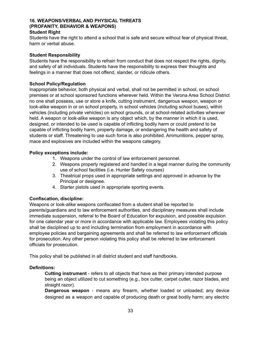# **16. WEAPONS/VERBAL AND PHYSICAL THREATS (PROFANITY, BEHAVIOR & WEAPONS)**

### **Student Right**

Students have the right to attend a school that is safe and secure without fear of physical threat, harm or verbal abuse.

#### **Student Responsibility**

Students have the responsibility to refrain from conduct that does not respect the rights, dignity, and safety of all individuals. Students have the responsibility to express their thoughts and feelings in a manner that does not offend, slander, or ridicule others.

#### **School Policy/Regulation**

Inappropriate behavior, both physical and verbal, shall not be permitted in school, on school premises or at school sponsored functions wherever held. Within the Verona Area School District no one shall possess, use or store a knife, cutting instrument, dangerous weapon, weapon or look-alike weapon in or on school property, in school vehicles (including school buses), within vehicles (including private vehicles) on school grounds, or at school-related activities wherever held. A weapon or look-alike weapon is any object which, by the manner in which it is used, designed, or intended to be used is capable of inflicting bodily harm or could pretend to be capable of inflicting bodily harm, property damage, or endangering the health and safety of students or staff. Threatening to use such force is also prohibited. Ammunitions, pepper spray, mace and explosives are included within the weapons category.

#### **Policy exceptions include:**

- 1. Weapons under the control of law enforcement personnel.
- 2. Weapons properly registered and handled in a legal manner during the community use of school facilities (i.e. Hunter Safety courses)
- 3. Theatrical props used in appropriate settings and approved in advance by the Principal or designee.
- 4. Starter pistols used in appropriate sporting events.

#### **Confiscation, discipline:**

Weapons or look-alike weapons confiscated from a student shall be reported to parents/guardians and to law enforcement authorities, and disciplinary measures shall include immediate suspension, referral to the Board of Education for expulsion, and possible expulsion for one calendar year or more in accordance with applicable law. Employees violating this policy shall be disciplined up to and including termination from employment in accordance with employee policies and bargaining agreements and shall be referred to law enforcement officials for prosecution. Any other person violating this policy shall be referred to law enforcement officials for prosecution.

This policy shall be published in all district student and staff handbooks.

#### **Definitions:**

**Cutting instrument** - refers to all objects that have as their primary intended purpose being an object utilized to cut something (e.g., box cutter, carpet cutter, razor blades, and straight razor).

**Dangerous weapon** - means any firearm, whether loaded or unloaded; any device designed as a weapon and capable of producing death or great bodily harm; any electric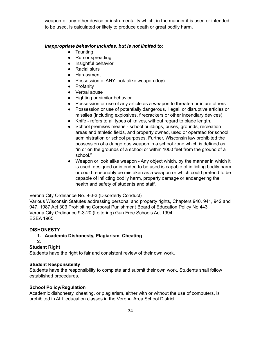weapon or any other device or instrumentality which, in the manner it is used or intended to be used, is calculated or likely to produce death or great bodily harm.

# *Inappropriate behavior includes, but is not limited to:*

- Taunting
- Rumor spreading
- Insightful behavior
- Racial slurs
- Harassment
- Possession of ANY look-alike weapon (toy)
- Profanity
- Verbal abuse
- Fighting or similar behavior
- Possession or use of any article as a weapon to threaten or injure others
- Possession or use of potentially dangerous, illegal, or disruptive articles or missiles (including explosives, firecrackers or other incendiary devices)
- Knife refers to all types of knives, without regard to blade length.
- School premises means school buildings, buses, grounds, recreation areas and athletic fields, and property owned, used or operated for school administration or school purposes. Further, Wisconsin law prohibited the possession of a dangerous weapon in a school zone which is defined as "in or on the grounds of a school or within 1000 feet from the ground of a school."
- Weapon or look alike weapon Any object which, by the manner in which it is used, designed or intended to be used is capable of inflicting bodily harm or could reasonably be mistaken as a weapon or which could pretend to be capable of inflicting bodily harm, property damage or endangering the health and safety of students and staff.

Verona City Ordinance No. 9-3-3 (Disorderly Conduct)

Various Wisconsin Statutes addressing personal and property rights, Chapters 940, 941, 942 and 947. 1987 Act 303 Prohibiting Corporal Punishment Board of Education Policy No.443 Verona City Ordinance 9-3-20 (Loitering) Gun Free Schools Act 1994 ESEA 1965

#### **DISHONESTY**

- **1. Academic Dishonesty, Plagiarism, Cheating**
- **2.**

# **Student Right**

Students have the right to fair and consistent review of their own work.

#### **Student Responsibility**

Students have the responsibility to complete and submit their own work. Students shall follow established procedures.

#### **School Policy/Regulation**

Academic dishonesty, cheating, or plagiarism, either with or without the use of computers, is prohibited in ALL education classes in the Verona Area School District.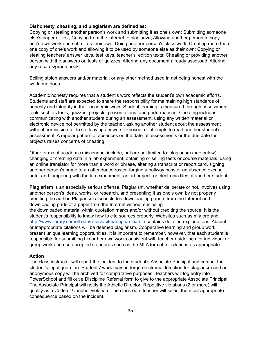#### **Dishonesty, cheating, and plagiarism are defined as:**

Copying or stealing another person's work and submitting it as one's own; Submitting someone else's paper or test; Copying from the internet to plagiarize; Allowing another person to copy one's own work and submit as their own; Doing another person's class work; Creating more than one copy of one's work and allowing it to be used by someone else as their own; Copying or stealing teachers' answer keys, test keys, teacher's' edition texts; Cheating or providing another person with the answers on tests or quizzes; Altering any document already assessed; Altering any records/grade book;

Selling stolen answers and/or material; or any other method used in not being honest with the work one does.

Academic honesty requires that a student's work reflects the student's own academic efforts. Students and staff are expected to share the responsibility for maintaining high standards of honesty and integrity in their academic work. Student learning is measured through assessment tools such as tests, quizzes, projects, presentations, and performances. Cheating includes communicating with another student during an assessment, using any written material or electronic device not permitted by the teacher, asking another student about the assessment without permission to do so, leaving answers exposed, or attempts to read another student's assessment. A regular pattern of absences on the date of assessments or the due date for projects raises concerns of cheating.

Other forms of academic misconduct include, but are not limited to: plagiarism (see below), changing or creating data in a lab experiment, obtaining or selling tests or course materials, using an online translator for more than a word or phrase, altering a transcript or report card, signing another person's name to an attendance roster, forging a hallway pass or an absence excuse note, and tampering with the lab experiment, an art project, or electronic files of another student.

**Plagiarism** is an especially serious offense. Plagiarism, whether deliberate or not, involves using another person's ideas, works, or research, and presenting it as one's own by not properly crediting the author. Plagiarism also includes downloading papers from the Internet and downloading parts of a paper from the Internet without enclosing the downloaded material within quotation marks and/or without crediting the source. It is the student's responsibility to know how to cite sources properly. Websites such as mla.org and <http://www.library.cornell.edu/resrch/citmanage/mla#mla> contains detailed explanations. Absent or inappropriate citations will be deemed plagiarism. Cooperative learning and group work present unique learning opportunities. It is important to remember, however, that each student is responsible for submitting his or her own work consistent with teacher guidelines for individual or group work and use accepted standards such as the MLA format for citations as appropriate.

#### **Action**

The class instructor will report the incident to the student's Associate Principal and contact the student's legal guardian. Students' work may undergo electronic detection for plagiarism and an anonymous copy will be archived for comparative purposes. Teachers will log entry into PowerSchool and fill out a Discipline Referral form to give to the appropriate Associate Principal. The Associate Principal will notify the Athletic Director. Repetitive violations (2 or more) will qualify as a Code of Conduct violation. The classroom teacher will select the most appropriate consequence based on the incident.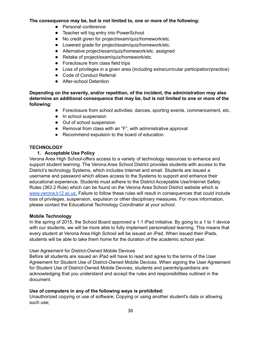#### **The consequence may be, but is not limited to, one or more of the following:**

- Personal conference
- Teacher will log entry into PowerSchool
- No credit given for project/exam/quiz/homework/etc.
- Lowered grade for project/exam/quiz/homework/etc.
- Alternative project/exam/quiz/homework/etc. assigned
- Retake of project/exam/quiz/homework/etc.
- Foreclosure from class field trips
- Loss of privileges in a given area (including extracurricular participation/practice)
- Code of Conduct Referral
- After-school Detention

**Depending on the severity, and/or repetition, of the incident, the administration may also determine an additional consequence that may be, but is not limited to one or more of the following:**

- Foreclosure from school activities: dances, sporting events, commencement, etc.
- In school suspension
- Out of school suspension
- Removal from class with an "F", with administrative approval
- Recommend expulsion to the board of education.

#### **TECHNOLOGY**

#### **1. Acceptable Use Policy**

Verona Area High School-offers access to a variety of technology resources to enhance and support student learning. The Verona Area School District provides students with access to the District's technology Systems, which includes Internet and email. Students are issued a username and password which allows access to the Systems to support and enhance their educational experience. Students must adhere to the District Acceptable Use/Internet Safety Rules (363.2 Rule) which can be found on the Verona Area School District website which is [www.verona.k12.wi.us.](http://www.verona.k12.wi.us/) Failure to follow these rules will result in consequences that could include loss of privileges, suspension, expulsion or other disciplinary measures. For more information, please contact the Educational Technology Coordinator at your school.

#### **Mobile Technology**

In the spring of 2015, the School Board approved a 1:1 iPad initiative. By going to a 1 to 1 device with our students, we will be more able to fully implement personalized learning. This means that every student at Verona Area High School will be issued an iPad. When issued their iPads, students will be able to take them home for the duration of the academic school year.

#### User Agreement for District-Owned Mobile Devices

Before all students are issued an iPad will have to read and agree to the terms of the User Agreement for Student Use of District-Owned Mobile Devices. When signing the User Agreement for Student Use of District-Owned Mobile Devices, students and parents/guardians are acknowledging that you understand and accept the rules and responsibilities outlined in the document.

#### **Use of computers in any of the following ways is prohibited:**

Unauthorized copying or use of software; Copying or using another student's data or allowing such use;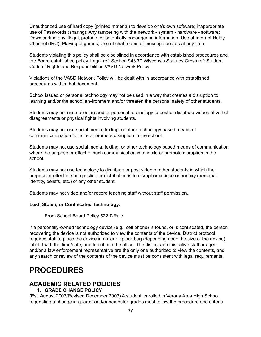Unauthorized use of hard copy (printed material) to develop one's own software; inappropriate use of Passwords (sharing); Any tampering with the network - system - hardware - software; Downloading any illegal, profane, or potentially endangering information. Use of Internet Relay Channel (IRC); Playing of games; Use of chat rooms or message boards at any time.

Students violating this policy shall be disciplined in accordance with established procedures and the Board established policy. Legal ref: Section 943.70 Wisconsin Statutes Cross ref: Student Code of Rights and Responsibilities VASD Network Policy

Violations of the VASD Network Policy will be dealt with in accordance with established procedures within that document.

School issued or personal technology may not be used in a way that creates a disruption to learning and/or the school environment and/or threaten the personal safety of other students.

Students may not use school issued or personal technology to post or distribute videos of verbal disagreements or physical fights involving students.

Students may not use social media, texting, or other technology based means of communicationation to incite or promote disruption in the school.

Students may not use social media, texting, or other technology based means of communication where the purpose or effect of such communication is to incite or promote disruption in the school.

Students may not use technology to distribute or post video of other students in which the purpose or effect of such posting or distribution is to disrupt or critique orthodoxy (personal identity, beliefs, etc.) of any other student.

Students may not video and/or record teaching staff without staff permission..

#### **Lost, Stolen, or Confiscated Technology:**

From School Board Policy 522.7-Rule:

If a personally-owned technology device (e.g., cell phone) is found, or is confiscated, the person recovering the device is not authorized to view the contents of the device. District protocol requires staff to place the device in a clear ziplock bag (depending upon the size of the device), label it with the time/date, and turn it into the office. The district administrative staff or agent and/or a law enforcement representative are the only one authorized to view the contents, and any search or review of the contents of the device must be consistent with legal requirements.

# **PROCEDURES**

# **ACADEMIC RELATED POLICIES**

### **1. GRADE CHANGE POLICY**

(Est. August 2003/Revised December 2003) A student enrolled in Verona Area High School requesting a change in quarter and/or semester grades must follow the procedure and criteria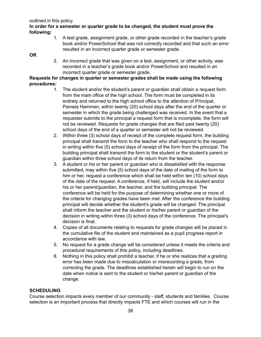outlined in this policy.

# **In order for a semester or quarter grade to be changed, the student must prove the following:**

1. A test grade, assignment grade, or other grade recorded in the teacher's grade book and/or PowerSchool that was not correctly recorded and that such an error resulted in an incorrect quarter grade or semester grade.

#### **OR**

2. An incorrect grade that was given on a test, assignment, or other activity, was recorded in a teacher's grade book and/or PowerSchool and resulted in an incorrect quarter grade or semester grade.

# **Requests for changes in quarter or semester grades shall be made using the following procedures:**

- 1. The student and/or the student's parent or guardian shall obtain a request form from the main office of the high school. The form must be completed in its entirety and returned to the high school office to the attention of Principal, Pamela Hammen, within twenty (20) school days after the end of the quarter or semester in which the grade being challenged was received. In the event that a requester submits to the principal a request form that is incomplete, the form will not be reviewed. Requests for grade changes that are filed past twenty (20) school days of the end of a quarter or semester will not be reviewed.
- 2. Within three (3) school days of receipt of the complete request form, the building principal shall transmit the form to the teacher who shall respond to the request in writing within five (5) school days of receipt of the form from the principal. The building principal shall transmit the form to the student or the student's parent or guardian within three school days of its return from the teacher.
- 3. A student or his or her parent or guardian who is dissatisfied with the response submitted, may within five (5) school days of the date of mailing of the form to him or her, request a conference which shall be held within ten (10) school days of the date of the request. A conference, if held, will include the student and/or his or her parent/guardian, the teacher, and the building principal. The conference will be held for the purpose of determining whether one or more of the criteria for changing grades have been met. After the conference the building principal will decide whether the student's grade will be changed. The principal shall inform the teacher and the student or his/her parent or guardian of the decision in writing within three (3) school days of the conference. The principal's decision is final.
- 4. Copies of all documents relating to requests for grade changes will be placed in the cumulative file of the student and maintained as a pupil progress report in accordance with law.
- 5. No request for a grade change will be considered unless it meets the criteria and procedural requirements of this policy, including deadlines.
- 6. Nothing in this policy shall prohibit a teacher, if he or she realizes that a grading error has been made due to miscalculation or misrecording a grade, from correcting the grade. The deadlines established herein will begin to run on the date when notice is sent to the student or his/her parent or guardian of the change.

# **SCHEDULING**

Course selection impacts every member of our community - staff, students and families. Course selection is an important process that directly impacts FTE and which courses will run in the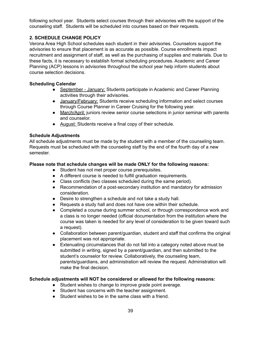following school year. Students select courses through their advisories with the support of the counseling staff. Students will be scheduled into courses based on their requests.

# **2. SCHEDULE CHANGE POLICY**

Verona Area High School schedules each student in their advisories. Counselors support the advisories to ensure that placement is as accurate as possible. Course enrollments impact recruitment and assignment of staff, as well as the purchasing of supplies and materials. Due to these facts, it is necessary to establish formal scheduling procedures. Academic and Career Planning (ACP) lessons in advisories throughout the school year help inform students about course selection decisions.

# **Scheduling Calendar**

- September January: Students participate in Academic and Career Planning activities through their advisories.
- January/February: Students receive scheduling information and select courses through Course Planner in Career Cruising for the following year.
- March/April: juniors review senior course selections in junior seminar with parents and counselor.
- August: Students receive a final copy of their schedule.

# **Schedule Adjustments**

All schedule adjustments must be made by the student with a member of the counseling team. Requests must be scheduled with the counseling staff by the end of the fourth day of a new semester.

#### **Please note that schedule changes will be made ONLY for the following reasons:**

- Student has not met proper course prerequisites.
- A different course is needed to fulfill graduation requirements.
- Class conflicts (two classes scheduled during the same period).
- Recommendation of a post-secondary institution and mandatory for admission consideration.
- Desire to strengthen a schedule and not take a study hall.
- Requests a study hall and does not have one within their schedule.
- Completed a course during summer school, or through correspondence work and a class is no longer needed (official documentation from the institution where the course was taken is needed for any level of consideration to be given toward such a request).
- Collaboration between parent/guardian, student and staff that confirms the original placement was not appropriate.
- Extenuating circumstances that do not fall into a category noted above must be submitted in writing, signed by a parent/guardian, and then submitted to the student's counselor for review. Collaboratively, the counseling team, parents/guardians, and administration will review the request. Administration will make the final decision.

#### **Schedule adjustments will NOT be considered or allowed for the following reasons:**

- Student wishes to change to improve grade point average.
- Student has concerns with the teacher assignment.
- Student wishes to be in the same class with a friend.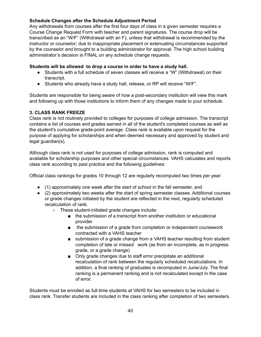# **Schedule Changes after the Schedule Adjustment Period**

Any withdrawals from courses after the first four days of class in a given semester requires a Course Change Request Form with teacher and parent signatures. The course drop will be transcribed as an "W/F" (Withdrawal with an F), unless that withdrawal is recommended by the instructor or counselor; due to inappropriate placement or extenuating circumstances supported by the counselor and brought to a building administrator for approval. The high school building administrator's decision is FINAL on any schedule change requests.

#### **Students will be allowed to drop a course in order to have a study hall.**

- Students with a full schedule of seven classes will receive a "W" (Withdrawal) on their transcript.
- Students who already have a study hall, release, or RP will receive "W/F".

Students are responsible for being aware of how a post-secondary institution will view this mark and following up with those institutions to inform them of any changes made to your schedule.

# **3. CLASS RANK FREEZE**

Class rank is not routinely provided to colleges for purposes of college admission. The transcript contains a list of courses and grades earned in all of the student's completed courses as well as the student's cumulative grade-point average. Class rank is available upon request for the purpose of applying for scholarships and when deemed necessary and approved by student and legal guardian(s).

Although class rank is not used for purposes of college admission, rank is computed and available for scholarship purposes and other special circumstances. VAHS calculates and reports class rank according to past practice and the following guidelines:

Official class rankings for grades 10 through 12 are regularly recomputed two times per year:

- (1) approximately one week after the start of school in the fall semester, and
- (2) approximately two weeks after the start of spring semester classes. Additional courses or grade changes initiated by the student are reflected in the next, regularly scheduled recalculation of rank.
	- These student-initiated grade changes include:
		- the submission of a transcript from another institution or educational provider
		- the submission of a grade from completion or independent coursework contracted with a VAHS teacher
		- submission of a grade change from a VAHS teacher resulting from student completion of late or missed work (as from an incomplete, as in progress grade, or a grade change)
		- Only grade changes due to staff error precipitate an additional recalculation of rank between the regularly scheduled recalculations. In addition, a final ranking of graduates is recomputed in June/July. The final ranking is a permanent ranking and is not recalculated except in the case of error.

Students must be enrolled as full-time students at VAHS for two semesters to be included in class rank. Transfer students are included in the class ranking after completion of two semesters.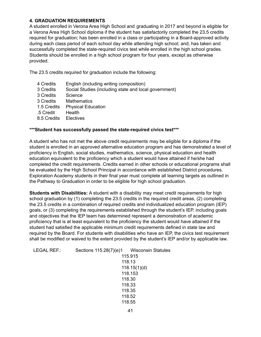# **4. GRADUATION REQUIREMENTS**

A student enrolled in Verona Area High School and graduating in 2017 and beyond is eligible for a Verona Area High School diploma if the student has satisfactorily completed the 23.5 credits required for graduation; has been enrolled in a class or participating in a Board-approved activity during each class period of each school day while attending high school; and, has taken and successfully completed the state-required civics test while enrolled in the high school grades. Students should be enrolled in a high school program for four years, except as otherwise provided.

The 23.5 credits required for graduation include the following:

4 Credits English (including writing composition) 3 Credits Social Studies (including state and local government) 3 Credits Science 3 Credits Mathematics 1.5 Credits Physical Education .5 Credit Health 8.5 Credits Electives

# **\*\*\*Student has successfully passed the state-required civics test\*\*\***

A student who has not met the above credit requirements may be eligible for a diploma if the student is enrolled in an approved alternative education program and has demonstrated a level of proficiency in English, social studies, mathematics, science, physical education and health education equivalent to the proficiency which a student would have attained if he/she had completed the credit requirements. Credits earned in other schools or educational programs shall be evaluated by the High School Principal in accordance with established District procedures. Exploration Academy students in their final year must complete all learning targets as outlined in the Pathway to Graduation in order to be eligible for high school graduation.

**Students with Disabilities:** A student with a disability may meet credit requirements for high school graduation by (1) completing the 23.5 credits in the required credit areas, (2) completing the 23.5 credits in a combination of required credits and individualized education program (IEP) goals, or (3) completing the requirements established through the student's IEP, including goals and objectives that the IEP team has determined represent a demonstration of academic proficiency that is at least equivalent to the proficiency the student would have attained if the student had satisfied the applicable minimum credit requirements defined in state law and required by the Board. For students with disabilities who have an IEP, the civics test requirement shall be modified or waived to the extent provided by the student's IEP and/or by applicable law.

| LEGAL REF.: |                                   | <b>Wisconsin Statutes</b> |                                      |         |
|-------------|-----------------------------------|---------------------------|--------------------------------------|---------|
|             | Sections 115.28(7)(e)1            |                           |                                      |         |
|             | 115.915<br>118.13<br>118.15(1)(d) |                           |                                      |         |
|             |                                   |                           |                                      | 118.153 |
|             |                                   |                           | 118.30<br>118.33<br>118.35<br>118.52 |         |
|             |                                   | 118.55                    |                                      |         |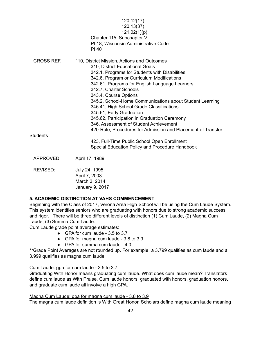|                    | 120.12(17)<br>120.13(37)<br>121.02(1)(p)<br>Chapter 115, Subchapter V<br>PI 18, Wisconsin Administrative Code<br><b>PI 40</b>                                                                                                                                                                                                                                                                                                                                                                                                                                                      |
|--------------------|------------------------------------------------------------------------------------------------------------------------------------------------------------------------------------------------------------------------------------------------------------------------------------------------------------------------------------------------------------------------------------------------------------------------------------------------------------------------------------------------------------------------------------------------------------------------------------|
| <b>CROSS REF.:</b> | 110, District Mission, Actions and Outcomes<br>310, District Educational Goals<br>342.1, Programs for Students with Disabilities<br>342.6, Program or Curriculum Modifications<br>342.61, Programs for English Language Learners<br>342.7, Charter Schools<br>343.4, Course Options<br>345.2, School-Home Communications about Student Learning<br>345.41, High School Grade Classifications<br>345.61, Early Graduation<br>345.62, Participation in Graduation Ceremony<br>346, Assessment of Student Achievement<br>420-Rule, Procedures for Admission and Placement of Transfer |
| <b>Students</b>    | 423, Full-Time Public School Open Enrollment<br>Special Education Policy and Procedure Handbook                                                                                                                                                                                                                                                                                                                                                                                                                                                                                    |
| APPROVED:          | April 17, 1989                                                                                                                                                                                                                                                                                                                                                                                                                                                                                                                                                                     |
| <b>REVISED:</b>    | July 24, 1995<br>April 7, 2003<br>March 3, 2014                                                                                                                                                                                                                                                                                                                                                                                                                                                                                                                                    |

#### **5. ACADEMIC DISTINCTION AT VAHS COMMENCEMENT**

January 9, 2017

Beginning with the Class of 2017, Verona Area High School will be using the Cum Laude System. This system identifies seniors who are graduating with honors due to strong academic success and rigor. There will be three different levels of distinction (1) Cum Laude, (2) Magna Cum Laude, (3) Summa Cum Laude.

Cum Laude grade point average estimates:

- GPA for cum laude 3.5 to 3.7
- GPA for magna cum laude 3.8 to 3.9
- GPA for summa cum laude 4.0.

\*\*Grade Point Averages are not rounded up. For example, a 3.799 qualifies as cum laude and a 3.999 qualifies as magna cum laude.

#### Cum Laude: gpa for cum laude - 3.5 to 3.7

Graduating With Honor means graduating cum laude. What does cum laude mean? Translators define cum laude as With Praise. Cum laude honors, graduated with honors, graduation honors, and graduate cum laude all involve a high GPA.

#### Magna Cum Laude: gpa for magna cum laude - 3.8 to 3.9

The magna cum laude definition is With Great Honor. Scholars define magna cum laude meaning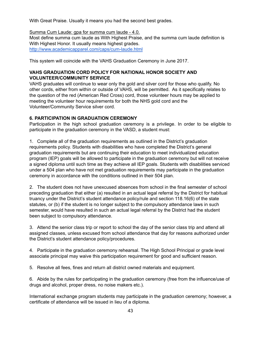With Great Praise. Usually it means you had the second best grades.

Summa Cum Laude: gpa for summa cum laude - 4.0.

Most define summa cum laude as With Highest Praise, and the summa cum laude definition is With Highest Honor. It usually means highest grades. <http://www.academicapparel.com/caps/cum-laude.html>

This system will coincide with the VAHS Graduation Ceremony in June 2017.

# **VAHS GRADUATION CORD POLICY FOR NATIONAL HONOR SOCIETY AND VOLUNTEER/COMMUNITY SERVICE**

VAHS graduates will continue to wear only the gold and silver cord for those who qualify. No other cords, either from within or outside of VAHS, will be permitted. As it specifically relates to the question of the red (American Red Cross) cord, those volunteer hours may be applied to meeting the volunteer hour requirements for both the NHS gold cord and the Volunteer/Community Service silver cord.

# **6. PARTICIPATION IN GRADUATION CEREMONY**

Participation in the high school graduation ceremony is a privilege. In order to be eligible to participate in the graduation ceremony in the VASD, a student must:

1. Complete all of the graduation requirements as outlined in the District's graduation requirements policy. Students with disabilities who have completed the District's general graduation requirements but are continuing their education to meet individualized education program (IEP) goals will be allowed to participate in the graduation ceremony but will not receive a signed diploma until such time as they achieve all IEP goals. Students with disabilities serviced under a 504 plan who have not met graduation requirements may participate in the graduation ceremony in accordance with the conditions outlined in their 504 plan.

2. The student does not have unexcused absences from school in the final semester of school preceding graduation that either (a) resulted in an actual legal referral by the District for habitual truancy under the District's student attendance policy/rule and section 118.16(6) of the state statutes, or (b) if the student is no longer subject to the compulsory attendance laws in such semester, would have resulted in such an actual legal referral by the District had the student been subject to compulsory attendance.

3. Attend the senior class trip or report to school the day of the senior class trip and attend all assigned classes, unless excused from school attendance that day for reasons authorized under the District's student attendance policy/procedures.

4. Participate in the graduation ceremony rehearsal. The High School Principal or grade level associate principal may waive this participation requirement for good and sufficient reason.

5. Resolve all fees, fines and return all district owned materials and equipment.

6. Abide by the rules for participating in the graduation ceremony (free from the influence/use of drugs and alcohol, proper dress, no noise makers etc.).

International exchange program students may participate in the graduation ceremony; however, a certificate of attendance will be issued in lieu of a diploma.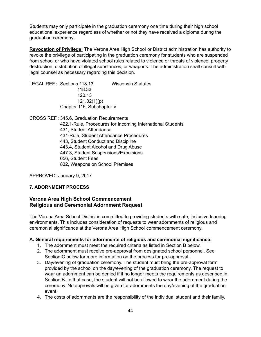Students may only participate in the graduation ceremony one time during their high school educational experience regardless of whether or not they have received a diploma during the graduation ceremony.

**Revocation of Privilege:** The Verona Area High School or District administration has authority to revoke the privilege of participating in the graduation ceremony for students who are suspended from school or who have violated school rules related to violence or threats of violence, property destruction, distribution of illegal substances, or weapons. The administration shall consult with legal counsel as necessary regarding this decision.

LEGAL REF.: Sections 118.13 Wisconsin Statutes 118.33 120.13 121.02(1)(p) Chapter 115, Subchapter V

CROSS REF.: 345.6, Graduation Requirements

- 422.1-Rule, Procedures for Incoming International Students
- 431, Student Attendance
- 431-Rule, Student Attendance Procedures
- 443, Student Conduct and Discipline
- 443.4, Student Alcohol and Drug Abuse
- 447.3, Student Suspensions/Expulsions
- 656, Student Fees
- 832, Weapons on School Premises

APPROVED: January 9, 2017

#### **7. ADORNMENT PROCESS**

# **Verona Area High School Commencement Religious and Ceremonial Adornment Request**

The Verona Area School District is committed to providing students with safe, inclusive learning environments. This includes consideration of requests to wear adornments of religious and ceremonial significance at the Verona Area High School commencement ceremony.

#### **A. General requirements for adornments of religious and ceremonial significance:**

- 1. The adornment must meet the required criteria as listed in Section B below.
- 2. The adornment must receive pre-approval from designated school personnel. See Section C below for more information on the process for pre-approval.
- 3. Day/evening of graduation ceremony. The student must bring the pre-approval form provided by the school on the day/evening of the graduation ceremony. The request to wear an adornment can be denied if it no longer meets the requirements as described in Section B. In that case, the student will not be allowed to wear the adornment during the ceremony. No approvals will be given for adornments the day/evening of the graduation event.
- 4. The costs of adornments are the responsibility of the individual student and their family.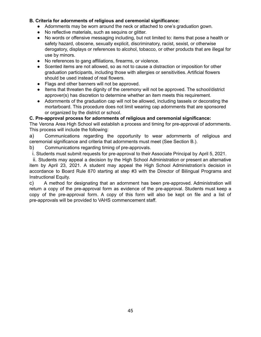# **B. Criteria for adornments of religious and ceremonial significance:**

- Adornments may be worn around the neck or attached to one's graduation gown.
- No reflective materials, such as sequins or glitter.
- No words or offensive messaging including, but not limited to: items that pose a health or safety hazard, obscene, sexually explicit, discriminatory, racist, sexist, or otherwise derogatory, displays or references to alcohol, tobacco, or other products that are illegal for use by minors.
- No references to gang affiliations, firearms, or violence.
- Scented items are not allowed, so as not to cause a distraction or imposition for other graduation participants, including those with allergies or sensitivities. Artificial flowers should be used instead of real flowers.
- Flags and other banners will not be approved.
- Items that threaten the dignity of the ceremony will not be approved. The school/district approver(s) has discretion to determine whether an item meets this requirement.
- Adornments of the graduation cap will not be allowed, including tassels or decorating the mortarboard. This procedure does not limit wearing cap adornments that are sponsored or organized by the district or school.

# **C. Pre-approval process for adornments of religious and ceremonial significance:**

The Verona Area High School will establish a process and timing for pre-approval of adornments. This process will include the following:

a) Communications regarding the opportunity to wear adornments of religious and ceremonial significance and criteria that adornments must meet (See Section B.).

b) Communications regarding timing of pre-approvals.

i. Students must submit requests for pre-approval to their Associate Principal by April 5, 2021.

ii. Students may appeal a decision by the High School Administration or present an alternative item by April 23, 2021. A student may appeal the High School Administration's decision in accordance to Board Rule 870 starting at step #3 with the Director of Bilingual Programs and Instructional Equity.

c) A method for designating that an adornment has been pre-approved. Administration will return a copy of the pre-approval form as evidence of the pre-approval. Students must keep a copy of the pre-approval form. A copy of this form will also be kept on file and a list of pre-approvals will be provided to VAHS commencement staff.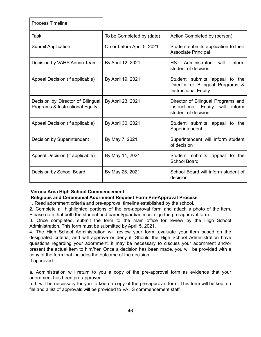| <b>Process Timeline</b>                                              |                            |                                                                                                        |
|----------------------------------------------------------------------|----------------------------|--------------------------------------------------------------------------------------------------------|
| Task                                                                 | To be Completed by (date)  | Action Completed by (person)                                                                           |
| <b>Submit Application</b>                                            | On or before April 5, 2021 | Student submits application to their<br>Associate Principal                                            |
| Decision by VAHS Admin Team                                          | By April 12, 2021          | inform<br><b>HS</b><br>Administrator<br>will<br>student of decision                                    |
| Appeal Decision (if applicable)                                      | By April 19, 2021          | Student submits appeal to the<br>Director or Bilingual Programs &<br><b>Instructional Equity</b>       |
| Decision by Director of Bilingual<br>Programs & Instructional Equity | By April 23, 2021          | Director of Bilingual Programs and<br>Equity<br>instructional<br>will<br>inform<br>student of decision |
| Appeal Decision (if applicable)                                      | By April 30, 2021          | Student submits appeal to the<br>Superintendent                                                        |
| Decision by Superintendent                                           | By May 7, 2021             | Superintendent will inform student<br>of decision                                                      |
| Appeal Decision (if applicable)                                      | By May 14, 2021            | Student submits appeal to<br>the<br>School Board                                                       |
| Decision by School Board                                             | By May 28, 2021            | School Board will inform student of<br>decision                                                        |

# **Verona Area High School Commencement**

# **Religious and Ceremonial Adornment Request Form Pre-Approval Process**

1. Read adornment criteria and pre-approval timeline established by the school.

2. Complete all highlighted portions of the pre-approval form and attach a photo of the item. Please note that both the student and parent/guardian must sign the pre-approval form.

3. Once completed, submit the form to the main office for review by the High School Administration. This form must be submitted by April 5, 2021.

4. The High School Administration will review your form, evaluate your item based on the designated criteria, and will approve or deny it. Should the High School Administration have questions regarding your adornment, it may be necessary to discuss your adornment and/or present the actual item to him/her. Once a decision has been made, you will be provided with a copy of the form that includes the outcome of the decision. If approved:

a. Administration will return to you a copy of the pre-approval form as evidence that your adornment has been pre-approved.

b. It will be necessary for you to keep a copy of the pre-approval form. This form will be kept on file and a list of approvals will be provided to VAHS commencement staff.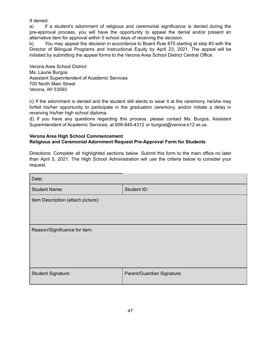If denied:

a) If a student's adornment of religious and ceremonial significance is denied during the pre-approval process, you will have the opportunity to appeal the denial and/or present an alternative item for approval within 5 school days of receiving the decision.

b) You may appeal the decision in accordance to Board Rule 870 starting at step #3 with the Director of Bilingual Programs and Instructional Equity by April 23, 2021. The appeal will be initiated by submitting the appeal forms to the Verona Area School District Central Office.

Verona Area School District Ms. Laurie Burgos Assistant Superintendent of Academic Services 700 North Main Street Verona, WI 53593

c) If the adornment is denied and the student still elects to wear it at the ceremony, he/she may forfeit his/her opportunity to participate in the graduation ceremony, and/or initiate a delay in receiving his/her high school diploma.

d) If you have any questions regarding this process, please contact Ms. Burgos, Assistant Superintendent of Academic Services, at 608-845-4312 or burgosl@verona.k12.wi.us.

#### **Verona Area High School Commencement Religious and Ceremonial Adornment Request Pre-Approval Form for Students**

Directions: Complete all highlighted sections below. Submit this form to the main office no later than April 5, 2021. The High School Administration will use the criteria below to consider your request.

| Date:                              |                            |
|------------------------------------|----------------------------|
| <b>Student Name:</b>               | Student ID:                |
| Item Description (attach picture): |                            |
| Reason/Significance for item:      |                            |
| <b>Student Signature:</b>          | Parent/Guardian Signature: |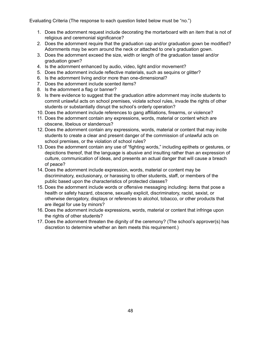Evaluating Criteria (The response to each question listed below must be "no.")

- 1. Does the adornment request include decorating the mortarboard with an item that is not of religious and ceremonial significance?
- 2. Does the adornment require that the graduation cap and/or graduation gown be modified? Adornments may be worn around the neck or attached to one's graduation gown.
- 3. Does the adornment exceed the size, width or length of the graduation tassel and/or graduation gown?
- 4. Is the adornment enhanced by audio, video, light and/or movement?
- 5. Does the adornment include reflective materials, such as sequins or glitter?
- 6. Is the adornment living and/or more than one-dimensional?
- 7. Does the adornment include scented items?
- 8. Is the adornment a flag or banner?
- 9. Is there evidence to suggest that the graduation attire adornment may incite students to commit unlawful acts on school premises, violate school rules, invade the rights of other students or substantially disrupt the school's orderly operation?
- 10. Does the adornment include references to gang affiliations, firearms, or violence?
- 11. Does the adornment contain any expressions, words, material or content which are obscene, libelous or slanderous?
- 12. Does the adornment contain any expressions, words, material or content that may incite students to create a clear and present danger of the commission of unlawful acts on school premises, or the violation of school rules?
- 13. Does the adornment contain any use of "fighting words," including epithets or gestures, or depictions thereof, that the language is abusive and insulting rather than an expression of culture, communication of ideas, and presents an actual danger that will cause a breach of peace?
- 14. Does the adornment include expression, words, material or content may be discriminatory, exclusionary, or harassing to other students, staff, or members of the public based upon the characteristics of protected classes?
- 15. Does the adornment include words or offensive messaging including: items that pose a health or safety hazard, obscene, sexually explicit, discriminatory, racist, sexist, or otherwise derogatory, displays or references to alcohol, tobacco, or other products that are illegal for use by minors?
- 16. Does the adornment include expressions, words, material or content that infringe upon the rights of other students?
- 17. Does the adornment threaten the dignity of the ceremony? (The school's approver(s) has discretion to determine whether an item meets this requirement.)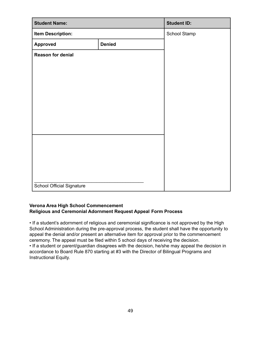| <b>Student Name:</b>             |               | <b>Student ID:</b> |
|----------------------------------|---------------|--------------------|
| <b>Item Description:</b>         |               | School Stamp       |
| Approved                         | <b>Denied</b> |                    |
| <b>Reason for denial</b>         |               |                    |
|                                  |               |                    |
|                                  |               |                    |
|                                  |               |                    |
|                                  |               |                    |
|                                  |               |                    |
|                                  |               |                    |
|                                  |               |                    |
|                                  |               |                    |
|                                  |               |                    |
|                                  |               |                    |
|                                  |               |                    |
|                                  |               |                    |
| <b>School Official Signature</b> |               |                    |

# **Verona Area High School Commencement Religious and Ceremonial Adornment Request Appeal Form Process**

• If a student's adornment of religious and ceremonial significance is not approved by the High School Administration during the pre-approval process, the student shall have the opportunity to appeal the denial and/or present an alternative item for approval prior to the commencement ceremony. The appeal must be filed within 5 school days of receiving the decision.

• If a student or parent/guardian disagrees with the decision, he/she may appeal the decision in accordance to Board Rule 870 starting at #3 with the Director of Bilingual Programs and Instructional Equity.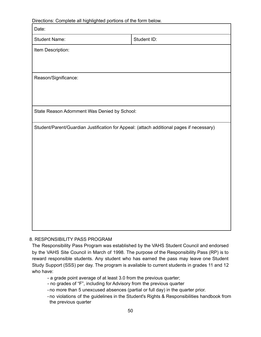Directions: Complete all highlighted portions of the form below.

| Date:                                                                                    |             |  |
|------------------------------------------------------------------------------------------|-------------|--|
| <b>Student Name:</b>                                                                     | Student ID: |  |
| Item Description:                                                                        |             |  |
|                                                                                          |             |  |
| Reason/Significance:                                                                     |             |  |
|                                                                                          |             |  |
|                                                                                          |             |  |
| State Reason Adornment Was Denied by School:                                             |             |  |
| Student/Parent/Guardian Justification for Appeal: (attach additional pages if necessary) |             |  |
|                                                                                          |             |  |
|                                                                                          |             |  |
|                                                                                          |             |  |
|                                                                                          |             |  |
|                                                                                          |             |  |
|                                                                                          |             |  |
|                                                                                          |             |  |
|                                                                                          |             |  |
|                                                                                          |             |  |

# 8. RESPONSIBILITY PASS PROGRAM

The Responsibility Pass Program was established by the VAHS Student Council and endorsed by the VAHS Site Council in March of 1998. The purpose of the Responsibility Pass (RP) is to reward responsible students. Any student who has earned the pass may leave one Student Study Support (SSS) per day. The program is available to current students in grades 11 and 12 who have:

- a grade point average of at least 3.0 from the previous quarter;

- no grades of "F", including for Advisory from the previous quarter
- no more than 5 unexcused absences (partial or full day) in the quarter prior.
- no violations of the guidelines in the Student's Rights & Responsibilities handbook from the previous quarter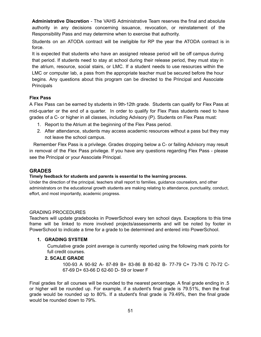**Administrative Discretion** - The VAHS Administrative Team reserves the final and absolute authority in any decisions concerning issuance, revocation, or reinstatement of the Responsibility Pass and may determine when to exercise that authority.

Students on an ATODA contract will be ineligible for RP the year the ATODA contract is in force.

It is expected that students who have an assigned release period will be off campus during that period. If students need to stay at school during their release period, they must stay in the atrium, resource, social stairs, or LMC. If a student needs to use resources within the LMC or computer lab, a pass from the appropriate teacher must be secured before the hour begins. Any questions about this program can be directed to the Principal and Associate **Principals** 

#### **Flex Pass**

A Flex Pass can be earned by students in 9th-12th grade. Students can qualify for Flex Pass at mid-quarter or the end of a quarter. In order to qualify for Flex Pass students need to have grades of a C- or higher in all classes, including Advisory (P). Students on Flex Pass must:

- 1. Report to the Atrium at the beginning of the Flex Pass period.
- 2. After attendance, students may access academic resources without a pass but they may not leave the school campus.

Remember Flex Pass is a privilege. Grades dropping below a C- or failing Advisory may result in removal of the Flex Pass privilege. If you have any questions regarding Flex Pass - please see the Principal or your Associate Principal.

#### **GRADES**

#### **Timely feedback for students and parents is essential to the learning process.**

Under the direction of the principal, teachers shall report to families, guidance counselors, and other administrators on the educational growth students are making relating to attendance, punctuality, conduct, effort, and most importantly, academic progress.

#### GRADING PROCEDURES

Teachers will update gradebooks in PowerSchool every ten school days. Exceptions to this time frame will be linked to more involved projects/assessments and will be noted by footer in PowerSchool to indicate a time for a grade to be determined and entered into PowerSchool.

#### **1. GRADING SYSTEM**

Cumulative grade point average is currently reported using the following mark points for full credit courses.

#### **2. SCALE GRADE**

100-93 A 90-92 A- 87-89 B+ 83-86 B 80-82 B- 77-79 C+ 73-76 C 70-72 C-67-69 D+ 63-66 D 62-60 D- 59 or lower F

Final grades for all courses will be rounded to the nearest percentage. A final grade ending in .5 or higher will be rounded up. For example, if a student's final grade is 79.51%, then the final grade would be rounded up to 80%. If a student's final grade is 79.49%, then the final grade would be rounded down to 79%.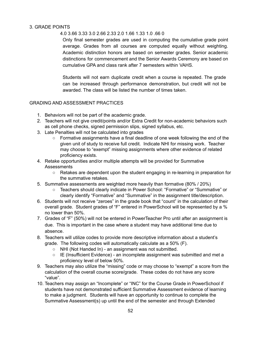# 3. GRADE POINTS

4.0 3.66 3.33 3.0 2.66 2.33 2.0 1.66 1.33 1.0 .66 0

Only final semester grades are used in computing the cumulative grade point average. Grades from all courses are computed equally without weighting. Academic distinction honors are based on semester grades. Senior academic distinctions for commencement and the Senior Awards Ceremony are based on cumulative GPA and class rank after 7 semesters within VAHS.

Students will not earn duplicate credit when a course is repeated. The grade can be increased through performance demonstration, but credit will not be awarded. The class will be listed the number of times taken.

#### GRADING AND ASSESSMENT PRACTICES

- 1. Behaviors will not be part of the academic grade.
- 2. Teachers will not give credit/points and/or Extra Credit for non-academic behaviors such as cell phone checks, signed permission slips, signed syllabus, etc.
- 3. Late Penalties will not be calculated into grades
	- Formative assignments have a final deadline of one week following the end of the given unit of study to receive full credit. Indicate NHI for missing work. Teacher may choose to "exempt" missing assignments where other evidence of related proficiency exists.
- 4. Retake opportunities and/or multiple attempts will be provided for Summative **Assessments** 
	- $\circ$  Retakes are dependent upon the student engaging in re-learning in preparation for the summative retakes.
- 5. Summative assessments are weighted more heavily than formative (80% / 20%)
	- Teachers should clearly indicate in Power School: "Formative" or "Summative" or clearly identify "Formative" and "Summative" in the assignment title/description.
- 6. Students will not receive "zeroes" in the grade book that "count" in the calculation of their overall grade. Student grades of "F" entered in PowerSchool will be represented by a % no lower than 50%.
- 7. Grades of "F" (50%) will not be entered in PowerTeacher Pro until after an assignment is due. This is important in the case where a student may have additional time due to absence.
- 8. Teachers will utilize codes to provide more descriptive information about a student's grade. The following codes will automatically calculate as a 50% (F).
	- NHI (Not Handed In) an assignment was not submitted.
	- IE (Insufficient Evidence) an incomplete assignment was submitted and met a proficiency level of below 50%.
- 9. Teachers may also utilize the "missing" code or may choose to "exempt" a score from the calculation of the overall course score/grade. These codes do not have any score "value".
- 10. Teachers may assign an "Incomplete" or "INC" for the Course Grade in PowerSchool if students have not demonstrated sufficient Summative Assessment evidence of learning to make a judgment. Students will have an opportunity to continue to complete the Summative Assessment(s) up until the end of the semester and through Extended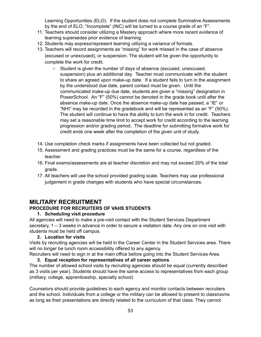Learning Opportunities (ELO). If the student does not complete Summative Assessments by the end of ELO, "Incomplete" (INC) will be turned to a course grade of an "F".

- 11. Teachers should consider utilizing a Mastery approach where more recent evidence of learning supersedes prior evidence of learning.
- 12. Students may express/represent learning utilizing a variance of formats.
- 13. Teachers will record assignments as "missing" for work missed in the case of absence (excused or unexcused), or suspension. The student will be given the opportunity to complete the work for credit.
	- Student is given the number of days of absence (excused, unexcused, suspension) plus an additional day. Teacher must communicate with the student to share an agreed upon make-up date. If a student fails to turn in the assignment by the understood due date, parent contact must be given. Until the communicated make-up due date, students are given a "missing" designation in PowerSchool. An "F" (50%) cannot be denoted in the grade book until after the absence make-up date. Once the absence make-up date has passed, a "IE" or "NHI" may be recorded in the gradebook and will be represented as an "F" (50%). The student will continue to have the ability to turn the work in for credit. Teachers may set a reasonable time limit to accept work for credit according to the learning progression and/or grading period. The deadline for submitting formative work for credit ends one week after the completion of the given unit of study.
- 14. Use completion check marks if assignments have been collected but not graded.
- 15. Assessment and grading practices must be the same for a course, regardless of the teacher.
- 16. Final exams/assessments are at teacher discretion and may not exceed 20% of the total grade.
- 17. All teachers will use the school provided grading scale. Teachers may use professional judgement in grade changes with students who have special circumstances.

# **MILITARY RECRUITMENT**

# **PROCEDURE FOR RECRUITERS OF VAHS STUDENTS**

# **1. Scheduling visit procedure**

All agencies will need to make a pre-visit contact with the Student Services Department secretary, 1 – 3 weeks in advance in order to secure a visitation date. Any one on one visit with students must be held off campus.

# **2. Location for visits**

Visits by recruiting agencies will be held in the Career Center in the Student Services area. There will no longer be lunch room accessibility offered to any agency.

Recruiters will need to sign in at the main office before going into the Student Services Area.

# **3. Equal reception for representatives of all career options**

The number of allowed school visits by recruiting agencies should be equal (currently described as 3 visits per year). Students should have the same access to representatives from each group (military, college, apprenticeship, specialty school)

Counselors should provide guidelines to each agency and monitor contacts between recruiters and the school. Individuals from a college or the military can be allowed to present to classrooms as long as their presentations are directly related to the curriculum of that class. They cannot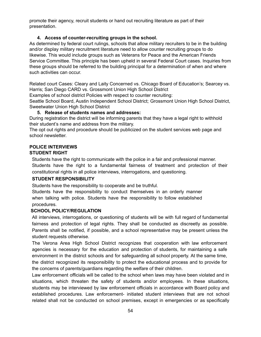promote their agency, recruit students or hand out recruiting literature as part of their presentation.

# **4. Access of counter-recruiting groups in the school.**

As determined by federal court rulings, schools that allow military recruiters to be in the building and/or display military recruitment literature need to allow counter recruiting groups to do likewise. This would include groups such as Veterans for Peace and the American Friends Service Committee. This principle has been upheld in several Federal Court cases. Inquiries from these groups should be referred to the building principal for a determination of when and where such activities can occur.

Related court Cases: Cleary and Laity Concerned vs. Chicago Board of Education's; Searcey vs. Harris; San Diego CARD vs. Grossmont Union High School District

Examples of school district Policies with respect to counter recruiting:

Seattle School Board, Austin Independent School District; Grossmont Union High School District, Sweetwater Union High School District

#### **5. Release of students names and addresses:**

During registration the district will be informing parents that they have a legal right to withhold their student's name and address from the military.

The opt out rights and procedure should be publicized on the student services web page and school newsletter.

# **POLICE INTERVIEWS**

#### **STUDENT RIGHT**

Students have the right to communicate with the police in a fair and professional manner. Students have the right to a fundamental fairness of treatment and protection of their constitutional rights in all police interviews, interrogations, and questioning.

#### **STUDENT RESPONSIBILITY**

Students have the responsibility to cooperate and be truthful.

Students have the responsibility to conduct themselves in an orderly manner when talking with police. Students have the responsibility to follow established procedures.

#### **SCHOOL POLICY/REGULATION**

All interviews, interrogations, or questioning of students will be with full regard of fundamental fairness and protection of legal rights. They shall be conducted as discreetly as possible. Parents shall be notified, if possible, and a school representative may be present unless the student requests otherwise.

The Verona Area High School District recognizes that cooperation with law enforcement agencies is necessary for the education and protection of students, for maintaining a safe environment in the district schools and for safeguarding all school property. At the same time, the district recognized its responsibility to protect the educational process and to provide for the concerns of parents/guardians regarding the welfare of their children.

Law enforcement officials will be called to the school when laws may have been violated and in situations, which threaten the safety of students and/or employees. In these situations, students may be interviewed by law enforcement officials in accordance with Board policy and established procedures. Law enforcement- initiated student interviews that are not school related shall not be conducted on school premises, except in emergencies or as specifically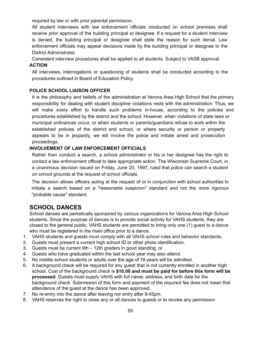required by law or with prior parental permission.

All student interviews with law enforcement officials conducted on school premises shall receive prior approval of the building principal or designee. If a request for a student interview is denied, the building principal or designee shall state the reason for such denial. Law enforcement officials may appeal decisions made by the building principal or designee to the District Administrator.

Consistent interview procedures shall be applied to all students. Subject to VASB approval.

# **ACTION**

All interviews, interrogations or questioning of students shall be conducted according to the procedures outlined in Board of Education Policy.

# **POLICE SCHOOL LIAISON OFFICER**

It is the philosophy and beliefs of the administration at Verona Area High School that the primary responsibility for dealing with student discipline violations rests with the administration. Thus, we will make every effort to handle such problems in-house, according to the policies and procedures established by the district and the school. However, when violations of state laws or municipal ordinances occur, or when students or parents/guardians refuse to work within the established policies of the district and school, or where security or person or property appears to be in jeopardy, we will involve the police and initiate arrest and prosecution proceedings.

# **INVOLVEMENT OF LAW ENFORCEMENT OFFICIALS**

Rather than conduct a search, a school administrator or his or her designee has the right to contact a law enforcement official to take appropriate action. The Wisconsin Supreme Court, in a unanimous decision issued on Friday, June 20, 1997, ruled that police can search a student on school grounds at the request of school officials.

The decision allows officers acting at the request of or in conjunction with school authorities to initiate a search based on a "reasonable suspicion" standard and not the more rigorous "probable cause" standard.

# **SCHOOL DANCES**

School dances are periodically sponsored by various organizations for Verona Area High School students. Since the purpose of dances is to provide social activity for VAHS students, they are closed to the general public. VAHS students are permitted to bring only one (1) guest to a dance who must be registered in the main office prior to a dance.

- 1. VAHS students and guests must comply with all VAHS school rules and behavior standards.
- 2. Guests must present a current high school ID or other photo identification.
- 3. Guests must be current 9th 12th graders in good standing, or
- 4. Guests who have graduated within the last school year may also attend.
- 5. No middle school students or adults over the age of 19 years will be admitted.
- 6. A background check will be required for any guest that is not currently enrolled in another high school. Cost of the background check is **\$10.00 and must be paid for before this form will be processed**. Guests must supply VAHS with full name, address, and birth date for the background check. Submission of this form and payment of the required fee does not mean that attendance of the guest at the dance has been approved.
- 7. No re-entry into the dance after leaving nor entry after 9:45pm.
- 8. VAHS reserves the right to close any or all dances to guests or to revoke any permission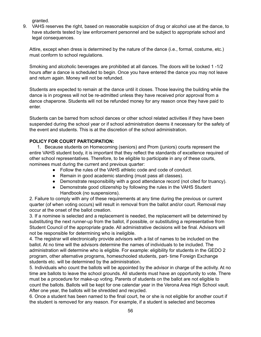granted.

9. VAHS reserves the right, based on reasonable suspicion of drug or alcohol use at the dance, to have students tested by law enforcement personnel and be subject to appropriate school and legal consequences.

Attire, except when dress is determined by the nature of the dance (i.e., formal, costume, etc.) must conform to school regulations.

Smoking and alcoholic beverages are prohibited at all dances. The doors will be locked 1 -1/2 hours after a dance is scheduled to begin. Once you have entered the dance you may not leave and return again. Money will not be refunded.

Students are expected to remain at the dance until it closes. Those leaving the building while the dance is in progress will not be re-admitted unless they have received prior approval from a dance chaperone. Students will not be refunded money for any reason once they have paid to enter.

Students can be barred from school dances or other school related activities if they have been suspended during the school year or if school administration deems it necessary for the safety of the event and students. This is at the discretion of the school administration.

# **POLICY FOR COURT PARTICIPATION:**

1. Because students on Homecoming (seniors) and Prom (juniors) courts represent the entire VAHS student body, it is important that they reflect the standards of excellence required of other school representatives. Therefore, to be eligible to participate in any of these courts, nominees must during the current and previous quarter:

- Follow the rules of the VAHS athletic code and code of conduct.
- Remain in good academic standing (must pass all classes).
- Demonstrate responsibility with a good attendance record (not cited for truancy).
- Demonstrate good citizenship by following the rules in the VAHS Student Handbook (no suspensions).

2. Failure to comply with any of these requirements at any time during the previous or current quarter (of when voting occurs) will result in removal from the ballot and/or court. Removal may occur at the onset of the ballot creation.

3. If a nominee is selected and a replacement is needed, the replacement will be determined by substituting the next runner-up from the ballot, if possible, or substituting a representative from Student Council of the appropriate grade. All administrative decisions will be final. Advisors will not be responsible for determining who is ineligible.

4. The registrar will electronically provide advisors with a list of names to be included on the ballot. At no time will the advisors determine the names of individuals to be included. The administration will determine who is eligible. For example: eligibility for students in the GEDO 2 program, other alternative programs, homeschooled students, part- time Foreign Exchange students etc. will be determined by the administration.

5. Individuals who count the ballots will be appointed by the advisor in charge of the activity. At no time are ballots to leave the school grounds. All students must have an opportunity to vote. There must be a procedure for make-up voting. Parents of students on the ballot are not eligible to count the ballots. Ballots will be kept for one calendar year in the Verona Area High School vault. After one year, the ballots will be shredded and recycled.

6. Once a student has been named to the final court, he or she is not eligible for another court if the student is removed for any reason. For example, if a student is selected and becomes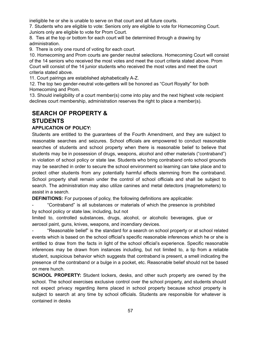ineligible he or she is unable to serve on that court and all future courts.

7. Students who are eligible to vote: Seniors only are eligible to vote for Homecoming Court. Juniors only are eligible to vote for Prom Court.

8. Ties at the top or bottom for each court will be determined through a drawing by administration.

9. There is only one round of voting for each court.

10. Homecoming and Prom courts are gender neutral selections. Homecoming Court will consist of the 14 seniors who received the most votes and meet the court criteria stated above. Prom Court will consist of the 14 junior students who received the most votes and meet the court criteria stated above.

11. Court pairings are established alphabetically A-Z.

12. The top two gender-neutral vote-getters will be honored as "Court Royalty" for both Homecoming and Prom.

13. Should ineligibility of a court member(s) come into play and the next highest vote recipient declines court membership, administration reserves the right to place a member(s).

# **SEARCH OF PROPERTY & STUDENTS**

# **APPLICATION OF POLICY:**

Students are entitled to the guarantees of the Fourth Amendment, and they are subject to reasonable searches and seizures. School officials are empowered to conduct reasonable searches of students and school property when there is reasonable belief to believe that students may be in possession of drugs, weapons, alcohol and other materials ("contraband") in violation of school policy or state law. Students who bring contraband onto school grounds may be searched in order to secure the school environment so learning can take place and to protect other students from any potentially harmful effects stemming from the contraband. School property shall remain under the control of school officials and shall be subject to search. The administration may also utilize canines and metal detectors (magnetometers) to assist in a search.

**DEFINITIONS:** For purposes of policy, the following definitions are applicable:

- "Contraband" is all substances or materials of which the presence is prohibited by school policy or state law, including, but not

limited to, controlled substances, drugs, alcohol, or alcoholic beverages, glue or aerosol paint, guns, knives, weapons, and incendiary devices.

- "Reasonable belief" is the standard for a search on school property or at school related events which is based on the school official's specific reasonable inferences which he or she is entitled to draw from the facts in light of the school official's experience. Specific reasonable inferences may be drawn from instances including, but not limited to, a tip from a reliable student, suspicious behavior which suggests that contraband is present, a smell indicating the presence of the contraband or a bulge in a pocket, etc. Reasonable belief should not be based on mere hunch.

**SCHOOL PROPERTY:** Student lockers, desks, and other such property are owned by the school. The school exercises exclusive control over the school property, and students should not expect privacy regarding items placed in school property because school property is subject to search at any time by school officials. Students are responsible for whatever is contained in desks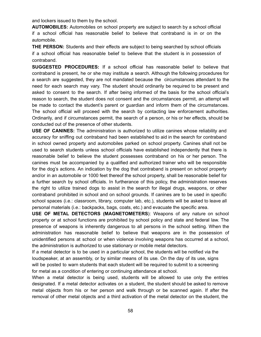and lockers issued to them by the school.

**AUTOMOBILES:** Automobiles on school property are subject to search by a school official if a school official has reasonable belief to believe that contraband is in or on the automobile.

**THE PERSON:** Students and their effects are subject to being searched by school officials if a school official has reasonable belief to believe that the student is in possession of contraband.

**SUGGESTED PROCEDURES:** If a school official has reasonable belief to believe that contraband is present, he or she may institute a search. Although the following procedures for a search are suggested, they are not mandated because the circumstances attendant to the need for each search may vary. The student should ordinarily be required to be present and asked to consent to the search. If after being informed of the basis for the school official's reason to search, the student does not consent and the circumstances permit, an attempt will be made to contact the student's parent or guardian and inform them of the circumstances. The school official will proceed with the search by contacting law enforcement authorities. Ordinarily, and if circumstances permit, the search of a person, or his or her effects, should be conducted out of the presence of other students.

**USE OF CANINES:** The administration is authorized to utilize canines whose reliability and accuracy for sniffing out contraband had been established to aid in the search for contraband in school owned property and automobiles parked on school property. Canines shall not be used to search students unless school officials have established independently that there is reasonable belief to believe the student possesses contraband on his or her person. The canines must be accompanied by a qualified and authorized trainer who will be responsible for the dog's actions. An indication by the dog that contraband is present on school property and/or in an automobile or 1000 feet thereof the school property, shall be reasonable belief for a further search by school officials. In furtherance of this policy, the administration reserves the right to utilize trained dogs to assist in the search for illegal drugs, weapons, or other contraband prohibited in school and on school grounds. If canines are to be used in specific school spaces (i.e.: classroom, library, computer lab, etc.), students will be asked to leave all personal materials (i.e.: backpacks, bags, coats, etc.) and evacuate the specific area.

**USE OF METAL DETECTORS (MAGNETOMETERS**): Weapons of any nature on school property or at school functions are prohibited by school policy and state and federal law. The presence of weapons is inherently dangerous to all persons in the school setting. When the administration has reasonable belief to believe that weapons are in the possession of unidentified persons at school or when violence involving weapons has occurred at a school, the administration is authorized to use stationary or mobile metal detectors.

If a metal detector is to be used in a particular school, the students will be notified via the loudspeaker, at an assembly, or by similar means of its use. On the day of its use, signs will be posted to warn students that each student will be required to submit to a screening for metal as a condition of entering or continuing attendance at school.

When a metal detector is being used, students will be allowed to use only the entries designated. If a metal detector activates on a student, the student should be asked to remove metal objects from his or her person and walk through or be scanned again. If after the removal of other metal objects and a third activation of the metal detector on the student, the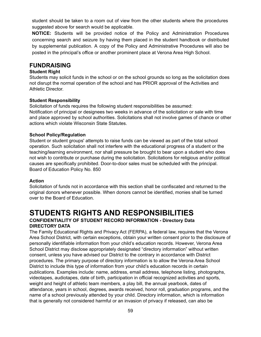student should be taken to a room out of view from the other students where the procedures suggested above for search would be applicable.

**NOTICE:** Students will be provided notice of the Policy and Administration Procedures concerning search and seizure by having them placed in the student handbook or distributed by supplemental publication. A copy of the Policy and Administrative Procedures will also be posted in the principal's office or another prominent place at Verona Area High School.

# **FUNDRAISING**

#### **Student Right**

Students may solicit funds in the school or on the school grounds so long as the solicitation does not disrupt the normal operation of the school and has PRIOR approval of the Activities and Athletic Director.

#### **Student Responsibility**

Solicitation of funds requires the following student responsibilities be assumed: Notification of principal or designees two weeks in advance of the solicitation or sale with time and place approved by school authorities. Solicitations shall not involve games of chance or other actions which violate Wisconsin State Statutes.

#### **School Policy/Regulation**

Student or student groups' attempts to raise funds can be viewed as part of the total school operation. Such solicitation shall not interfere with the educational progress of a student or the teaching/learning environment, nor shall pressure be brought to bear upon a student who does not wish to contribute or purchase during the solicitation. Solicitations for religious and/or political causes are specifically prohibited. Door-to-door sales must be scheduled with the principal. Board of Education Policy No. 850

#### **Action**

Solicitation of funds not in accordance with this section shall be confiscated and returned to the original donors whenever possible. When donors cannot be identified, monies shall be turned over to the Board of Education.

# **STUDENTS RIGHTS AND RESPONSIBILITIES**

# **CONFIDENTIALITY OF STUDENT RECORD INFORMATION - Directory Data DIRECTORY DATA**

The Family Educational Rights and Privacy Act (FERPA), a federal law, requires that the Verona Area School District, with certain exceptions, obtain your written consent prior to the disclosure of personally identifiable information from your child's education records. However, Verona Area School District may disclose appropriately designated "directory information" without written consent, unless you have advised our District to the contrary in accordance with District procedures. The primary purpose of directory information is to allow the Verona Area School District to include this type of information from your child's education records in certain publications. Examples include: name, address, email address, telephone listing, photographs, videotapes, audiotapes, date of birth, participation in official recognized activities and sports, weight and height of athletic team members, a play bill, the annual yearbook, dates of attendance, years in school, degrees, awards received, honor roll, graduation programs, and the name of a school previously attended by your child. Directory information, which is information that is generally not considered harmful or an invasion of privacy if released, can also be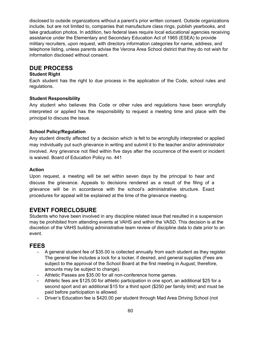disclosed to outside organizations without a parent's prior written consent. Outside organizations include, but are not limited to, companies that manufacture class rings, publish yearbooks, and take graduation photos. In addition, two federal laws require local educational agencies receiving assistance under the Elementary and Secondary Education Act of 1965 (ESEA) to provide military recruiters, upon request, with directory information categories for name, address, and telephone listing, unless parents advise the Verona Area School district that they do not wish for information disclosed without consent.

# **DUE PROCESS**

#### **Student Right**

Each student has the right to due process in the application of the Code, school rules and regulations.

#### **Student Responsibility**

Any student who believes this Code or other rules and regulations have been wrongfully interpreted or applied has the responsibility to request a meeting time and place with the principal to discuss the issue.

# **School Policy/Regulation**

Any student directly affected by a decision which is felt to be wrongfully interpreted or applied may individually put such grievance in writing and submit it to the teacher and/or administrator involved. Any grievance not filed within five days after the occurrence of the event or incident is waived. Board of Education Policy no. 441

#### **Action**

Upon request, a meeting will be set within seven days by the principal to hear and discuss the grievance. Appeals to decisions rendered as a result of the filing of a grievance will be in accordance with the school's administrative structure. Exact procedures for appeal will be explained at the time of the grievance meeting.

# **EVENT FORECLOSURE**

Students who have been involved in any discipline related issue that resulted in a suspension may be prohibited from attending events at VAHS and within the VASD. This decision is at the discretion of the VAHS building administrative team review of discipline data to date prior to an event.

# **FEES**

- A general student fee of \$35.00 is collected annually from each student as they register. The general fee includes a lock for a locker, if desired, and general supplies (Fees are subject to the approval of the School Board at the first meeting in August; therefore, amounts may be subject to change).
- Athletic Passes are \$35.00 for all non-conference home games.
- Athletic fees are \$125.00 for athletic participation in one sport, an additional \$25 for a second sport and an additional \$15 for a third sport (\$250 per family limit) and must be paid before participation is allowed.
- Driver's Education fee is \$420.00 per student through Mad Area Driving School (not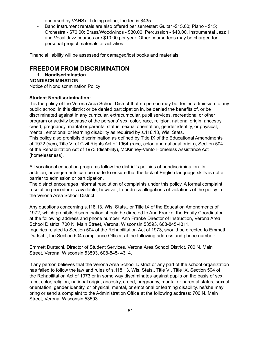endorsed by VAHS). If doing online, the fee is \$435.

- Band instrument rentals are also offered per semester: Guitar -\$15.00; Piano - \$15; Orchestra - \$70.00; Brass/Woodwinds - \$30.00; Percussion - \$40.00. Instrumental Jazz 1 and Vocal Jazz courses are \$10.00 per year. Other course fees may be charged for personal project materials or activities.

Financial liability will be assessed for damaged/lost books and materials.

# **FREEDOM FROM DISCRIMINATION**

# **1. Nondiscrimination**

#### **NONDISCRIMINATION**

Notice of Nondiscrimination Policy

#### **Student Nondiscrimination:**

It is the policy of the Verona Area School District that no person may be denied admission to any public school in this district or be denied participation in, be denied the benefits of, or be discriminated against in any curricular, extracurricular, pupil services, recreational or other program or activity because of the persons' sex, color, race, religion, national origin, ancestry, creed, pregnancy, marital or parental status, sexual orientation, gender identity, or physical, mental, emotional or learning disability as required by s.118.13, Wis. Stats. This policy also prohibits discrimination as defined by Title IX of the Educational Amendments of 1972 (sex), Title VI of Civil Rights Act of 1964 (race, color, and national origin), Section 504 of the Rehabilitation Act of 1973 (disability), McKinney-Vento Homeless Assistance Act (homelessness).

All vocational education programs follow the district's policies of nondiscrimination. In addition, arrangements can be made to ensure that the lack of English language skills is not a barrier to admission or participation.

The district encourages informal resolution of complaints under this policy. A formal complaint resolution procedure is available, however, to address allegations of violations of the policy in the Verona Area School District.

Any questions concerning s.118.13, Wis. Stats., or Title IX of the Education Amendments of 1972, which prohibits discrimination should be directed to Ann Franke, the Equity Coordinator, at the following address and phone number: Ann Franke Director of Instruction, Verona Area School District, 700 N. Main Street, Verona, Wisconsin 53593, 608-845-4311. Inquiries related to Section 504 of the Rehabilitation Act of 1973, should be directed to Emmett Durtschi, the Section 504 compliance Officer, at the following address and phone number:

Emmett Durtschi, Director of Student Services, Verona Area School District, 700 N. Main Street, Verona, Wisconsin 53593, 608-845- 4314.

If any person believes that the Verona Area School District or any part of the school organization has failed to follow the law and rules of s.118.13, Wis. Stats., Title VI, Title IX, Section 504 of the Rehabilitation Act of 1973 or in some way discriminates against pupils on the basis of sex, race, color, religion, national origin, ancestry, creed, pregnancy, marital or parental status, sexual orientation, gender identity, or physical, mental, or emotional or learning disability, he/she may bring or send a complaint to the Administration Office at the following address: 700 N. Main Street, Verona, Wisconsin 53593.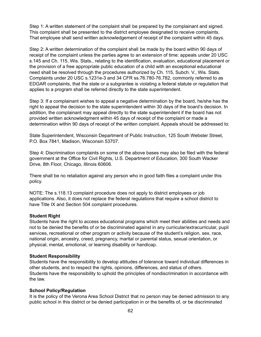Step 1: A written statement of the complaint shall be prepared by the complainant and signed. This complaint shall be presented to the district employee designated to receive complaints. That employee shall send written acknowledgement of receipt of the complaint within 45 days.

Step 2: A written determination of the complaint shall be made by the board within 90 days of receipt of the complaint unless the parties agree to an extension of time: appeals under 20 USC s.145 and Ch. 115, Wis. Stats., relating to the identification, evaluation, educational placement or the provision of a free appropriate public education of a child with an exceptional educational need shall be resolved through the procedures authorized by Ch. 115, Subch. V., Wis. Stats. Complaints under 20 USC s.1231e-3 and 34 CFR ss.76.780-76.782, commonly referred to as EDGAR complaints, that the state or a subgrantee is violating a federal statute or regulation that applies to a program shall be referred directly to the state superintendent.

Step 3: If a complainant wishes to appeal a negative determination by the board, he/she has the right to appeal the decision to the state superintendent within 30 days of the board's decision. In addition, the complainant may appeal directly to the state superintendent if the board has not provided written acknowledgment within 45 days of receipt of the complaint or made a determination within 90 days of receipt of the written complaint. Appeals should be addressed to:

State Superintendent, Wisconsin Department of Public Instruction, 125 South Webster Street, P.O. Box 7841, Madison, Wisconsin 53707.

Step 4: Discrimination complaints on some of the above bases may also be filed with the federal government at the Office for Civil Rights, U.S. Department of Education, 300 South Wacker Drive, 8th Floor, Chicago, Illinois 60606.

There shall be no retaliation against any person who in good faith files a complaint under this policy.

NOTE: The s.118.13 complaint procedure does not apply to district employees or job applications. Also, it does not replace the federal regulations that require a school district to have Title IX and Section 504 complaint procedures.

#### **Student Right**

Students have the right to access educational programs which meet their abilities and needs and not to be denied the benefits of or be discriminated against in any curricular/extracurricular, pupil services, recreational or other program or activity because of the student's religion, sex, race, national origin, ancestry, creed, pregnancy, marital or parental status, sexual orientation, or physical, mental, emotional, or learning disability or handicap.

#### **Student Responsibility**

Students have the responsibility to develop attitudes of tolerance toward individual differences in other students, and to respect the rights, opinions, differences, and status of others. Students have the responsibility to uphold the principles of nondiscrimination in accordance with the law.

#### **School Policy/Regulation**

It is the policy of the Verona Area School District that no person may be denied admission to any public school in this district or be denied participation in or the benefits of, or be discriminated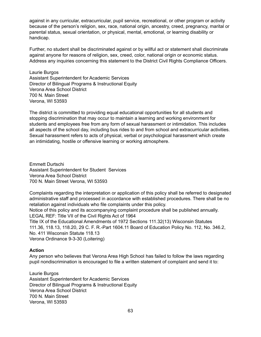against in any curricular, extracurricular, pupil service, recreational, or other program or activity because of the person's religion, sex, race, national origin, ancestry, creed, pregnancy, marital or parental status, sexual orientation, or physical, mental, emotional, or learning disability or handicap.

Further, no student shall be discriminated against or by willful act or statement shall discriminate against anyone for reasons of religion, sex, creed, color, national origin or economic status. Address any inquiries concerning this statement to the District Civil Rights Compliance Officers.

Laurie Burgos Assistant Superintendent for Academic Services Director of Bilingual Programs & Instructional Equity Verona Area School District 700 N. Main Street Verona, WI 53593

The district is committed to providing equal educational opportunities for all students and stopping discrimination that may occur to maintain a learning and working environment for students and employees free from any form of sexual harassment or intimidation. This includes all aspects of the school day, including bus rides to and from school and extracurricular activities. Sexual harassment refers to acts of physical, verbal or psychological harassment which create an intimidating, hostile or offensive learning or working atmosphere.

Emmett Durtschi Assistant Superintendent for Student Services Verona Area School District 700 N. Main Street Verona, WI 53593

Complaints regarding the interpretation or application of this policy shall be referred to designated administrative staff and processed in accordance with established procedures. There shall be no retaliation against individuals who file complaints under this policy.

Notice of this policy and its accompanying complaint procedure shall be published annually. LEGAL REF: Title VII of the Civil Rights Act of 1964

Title IX of the Educational Amendments of 1972 Sections 111.32(13) Wisconsin Statutes 111.36, 118.13, 118.20, 29 C. F. R.-Part 1604.11 Board of Education Policy No. 112, No. 346.2, No. 411 Wisconsin Statute 118.13 Verona Ordinance 9-3-30 (Loitering)

#### **Action**

Any person who believes that Verona Area High School has failed to follow the laws regarding pupil nondiscrimination is encouraged to file a written statement of complaint and send it to:

Laurie Burgos Assistant Superintendent for Academic Services Director of Bilingual Programs & Instructional Equity Verona Area School District 700 N. Main Street Verona, WI 53593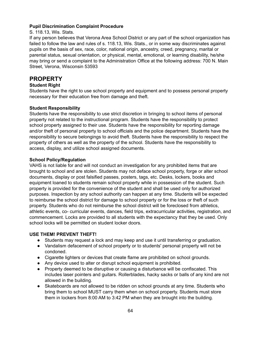# **Pupil Discrimination Complaint Procedure**

#### S. 118.13, Wis. Stats.

If any person believes that Verona Area School District or any part of the school organization has failed to follow the law and rules of s. 118.13, Wis. Stats., or in some way discriminates against pupils on the basis of sex, race, color, national origin, ancestry, creed, pregnancy, marital or parental status, sexual orientation, or physical, mental, emotional, or learning disability, he/she may bring or send a complaint to the Administration Office at the following address: 700 N. Main Street, Verona, Wisconsin 53593

# **PROPERTY**

# **Student Right**

Students have the right to use school property and equipment and to possess personal property necessary for their education free from damage and theft.

# **Student Responsibility**

Students have the responsibility to use strict discretion in bringing to school items of personal property not related to the instructional program. Students have the responsibility to protect school property assigned to their use. Students have the responsibility for reporting damage and/or theft of personal property to school officials and the police department. Students have the responsibility to secure belongings to avoid theft. Students have the responsibility to respect the property of others as well as the property of the school. Students have the responsibility to access, display, and utilize school assigned documents.

# **School Policy/Regulation**

VAHS is not liable for and will not conduct an investigation for any prohibited items that are brought to school and are stolen. Students may not deface school property, forge or alter school documents, display or post falsified passes, posters, tags, etc. Desks, lockers, books and equipment loaned to students remain school property while in possession of the student. Such property is provided for the convenience of the student and shall be used only for authorized purposes. Inspection by any school authority can happen at any time. Students will be expected to reimburse the school district for damage to school property or for the loss or theft of such property. Students who do not reimburse the school district will be foreclosed from athletics, athletic events, co- curricular events, dances, field trips, extracurricular activities, registration, and commencement. Locks are provided to all students with the expectancy that they be used. Only school locks will be permitted on student locker doors.

#### **USE THEM! PREVENT THEFT!**

- Students may request a lock and may keep and use it until transferring or graduation.
- Vandalism defacement of school property or to students' personal property will not be condoned.
- Cigarette lighters or devices that create flame are prohibited on school grounds.
- Any device used to alter or disrupt school equipment is prohibited.
- Property deemed to be disruptive or causing a disturbance will be confiscated. This includes laser pointers and guitars. Rollerblades, hacky sacks or balls of any kind are not allowed in the building.
- Skateboards are not allowed to be ridden on school grounds at any time. Students who bring them to school MUST carry them when on school property. Students must store them in lockers from 8:00 AM to 3:42 PM when they are brought into the building.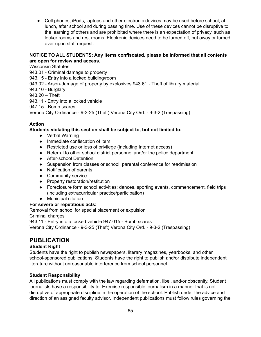● Cell phones, iPods, laptops and other electronic devices may be used before school, at lunch, after school and during passing time. Use of these devices cannot be disruptive to the learning of others and are prohibited where there is an expectation of privacy, such as locker rooms and rest rooms. Electronic devices need to be turned off, put away or turned over upon staff request.

#### **NOTICE TO ALL STUDENTS: Any items confiscated, please be informed that all contents are open for review and access.**

Wisconsin Statutes:

943.01 - Criminal damage to property

943.15 - Entry into a locked building/room

943.02 - Arson-damage of property by explosives 943.61 - Theft of library material

943.10 - Burglary

943.20 – Theft

943.11 - Entry into a locked vehicle

947.15 - Bomb scares

Verona City Ordinance - 9-3-25 (Theft) Verona City Ord. - 9-3-2 (Trespassing)

# **Action**

# **Students violating this section shall be subject to, but not limited to:**

- Verbal Warning
- Immediate confiscation of item
- Restricted use or loss of privilege (including Internet access)
- Referral to other school district personnel and/or the police department
- After-school Detention
- Suspension from classes or school; parental conference for readmission
- Notification of parents
- Community service
- Property restoration/restitution
- Foreclosure form school activities: dances, sporting events, commencement, field trips (including extracurricular practice/participation)
- Municipal citation

#### **For severe or repetitious acts:**

Removal from school for special placement or expulsion Criminal charges

943.11 - Entry into a locked vehicle 947.015 - Bomb scares Verona City Ordinance - 9-3-25 (Theft) Verona City Ord. - 9-3-2 (Trespassing)

# **PUBLICATION**

# **Student Right**

Students have the right to publish newspapers, literary magazines, yearbooks, and other school-sponsored publications. Students have the right to publish and/or distribute independent literature without unreasonable interference from school personnel.

# **Student Responsibility**

All publications must comply with the law regarding defamation, libel, and/or obscenity. Student journalists have a responsibility to: Exercise responsible journalism in a manner that is not disruptive of appropriate discipline in the operation of the school. Publish under the advice and direction of an assigned faculty advisor. Independent publications must follow rules governing the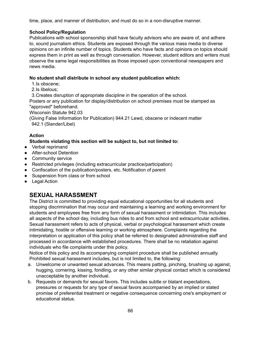time, place, and manner of distribution, and must do so in a non-disruptive manner.

# **School Policy/Regulation**

Publications with school sponsorship shall have faculty advisors who are aware of, and adhere to, sound journalism ethics. Students are exposed through the various mass media to diverse opinions on an infinite number of topics. Students who have facts and opinions on topics should express them in print as well as through conversation. However, student editors and writers must observe the same legal responsibilities as those imposed upon conventional newspapers and news media.

# **No student shall distribute in school any student publication which:**

1.Is obscene;

2.Is libelous;

3.Creates disruption of appropriate discipline in the operation of the school.

Posters or any publication for display/distribution on school premises must be stamped as "approved" beforehand.

Wisconsin Statute 942.03

(Giving False Information for Publication) 944.21 Lewd, obscene or indecent matter 942.1 (Slander/Libel)

# **Action**

# **Students violating this section will be subject to, but not limited to:**

- Verbal reprimand
- After-school Detention
- Community service
- Restricted privileges (including extracurricular practice/participation)
- Confiscation of the publication/posters, etc. Notification of parent
- Suspension from class or from school
- Legal Action

# **SEXUAL HARASSMENT**

The District is committed to providing equal educational opportunities for all students and stopping discrimination that may occur and maintaining a learning and working environment for students and employees free from any form of sexual harassment or intimidation. This includes all aspects of the school day, including bus rides to and from school and extracurricular activities. Sexual harassment refers to acts of physical, verbal or psychological harassment which create intimidating, hostile or offensive learning or working atmosphere. Complaints regarding the interpretation or application of this policy shall be referred to designated administrative staff and processed in accordance with established procedures. There shall be no retaliation against individuals who file complaints under this policy.

Notice of this policy and its accompanying complaint procedure shall be published annually. Prohibited sexual harassment includes, but is not limited to, the following:

- a. Unwelcome or unwanted sexual advances. This means patting, pinching, brushing up against, hugging, cornering, kissing, fondling, or any other similar physical contact which is considered unacceptable by another individual.
- b. Requests or demands for sexual favors. This includes subtle or blatant expectations, pressures or requests for any type of sexual favors accompanied by an implied or stated promise of preferential treatment or negative consequence concerning one's employment or educational status.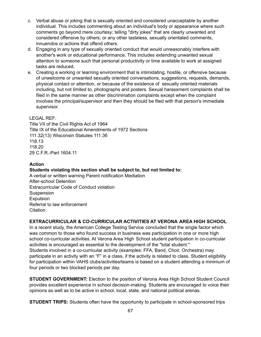- c. Verbal abuse or joking that is sexually oriented and considered unacceptable by another individual. This includes commenting about an individual's body or appearance where such comments go beyond mere courtesy; telling "dirty jokes" that are clearly unwanted and considered offensive by others; or any other tasteless, sexually orientated comments, innuendos or actions that offend others.
- d. Engaging in any type of sexually oriented conduct that would unreasonably interfere with another's work or educational performance. This includes extending unwanted sexual attention to someone such that personal productivity or time available to work at assigned tasks are reduced.
- e. Creating a working or learning environment that is intimidating, hostile, or offensive because of unwelcome or unwanted sexually oriented conversations, suggestions, requests, demands, physical contact or attention, or because of the existence of sexually oriented materials including, but not limited to, photographs and posters. Sexual harassment complaints shall be filed in the same manner as other discrimination complaints except when the complaint involves the principal/supervisor and then they should be filed with that person's immediate supervisor.

# LEGAL REF:

Title VII of the Civil Rights Act of 1964 Title IX of the Educational Amendments of 1972 Sections 111.32(13) Wisconsin Statutes 111.36 118.13 118.20 29 C.F.R.-Part 1604.11

# **Action**

# **Students violating this section shall be subject to, but not limited to:**

A verbal or written warning Parent notification Mediation After-school Detention Extracurricular Code of Conduct violation **Suspension** Expulsion Referral to law enforcement **Citation** 

# **EXTRACURRICULAR & CO-CURRICULAR ACTIVITIES AT VERONA AREA HIGH SCHOOL**

In a recent study, the American College Testing Service concluded that the single factor which was common to those who found success in business was participation in one or more high school co-curricular activities. At Verona Area High School student participation in co-curricular activities is encouraged as essential to the development of the "total student." Students involved in a co-curricular activity (examples: FFA, Band, Choir, Orchestra) may participate in an activity with an "F" in a class, if the activity is related to class. Student eligibility for participation within VAHS clubs/activities/teams is based on a student attending a minimum of four periods or two blocked periods per day.

**STUDENT GOVERNMENT:** Election to the position of Verona Area High School Student Council provides excellent experience in school decision-making. Students are encouraged to voice their opinions as well as to be active in school, local, state, and national political arenas.

**STUDENT TRIPS:** Students often have the opportunity to participate in school-sponsored trips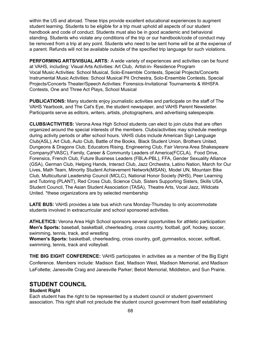within the US and abroad. These trips provide excellent educational experiences to augment student learning. Students to be eligible for a trip must uphold all aspects of our student handbook and code of conduct. Students must also be in good academic and behavioral standing. Students who violate any conditions of the trip or our handbook/code of conduct may be removed from a trip at any point. Students who need to be sent home will be at the expense of a parent. Refunds will not be available outside of the specified trip language for such violations.

**PERFORMING ARTS/VISUAL ARTS:** A wide variety of experiences and activities can be found at VAHS, including: Visual Arts Activities: Art Club, Artist-in- Residence Program Vocal Music Activities: School Musical, Solo-Ensemble Contests, Special Projects/Concerts Instrumental Music Activities: School Musical Pit Orchestra, Solo-Ensemble Contests, Special Projects/Concerts Theater/Speech Activities: Forensics-Invitational Tournaments & WHSFA Contests, One and Three Act Plays, School Musical

**PUBLICATIONS:** Many students enjoy journalistic activities and participate on the staff of The VAHS Yearbook, and The Cat's Eye, the student newspaper, and VAHS Parent Newsletter. Participants serve as editors, writers, artists, photographers, and advertising salespeople.

**CLUBS/ACTIVITIES:** Verona Area High School students can elect to join clubs that are often organized around the special interests of the members. Clubs/activities may schedule meetings during activity periods or after school hours. VAHS clubs include American Sign Language Club(ASL), Art Club, Auto Club, Battle of the Books, Black Student Union, Brothers United, Dungeons & Dragons Club, Educators Rising, Engineering Club, Fair Verona Area Shakespeare Company(FVASC), Family, Career & Community Leaders of America(FCCLA), Food Drive, Forensics, French Club, Future Business Leaders (FBLA-PBL), FFA, Gender Sexuality Alliance (GSA), German Club, Helping Hands, Interact Club, Jazz Orchestra, Latino Nation, March for Our Lives, Math Team, Minority Student Achievement Network(MSAN), Model UN, Mountain Bike Club, Multicultural Leadership Council (MCLC), National Honor Society (NHS), Peer Learning and Tutoring (PLANT), Red Cross Club, Science Club, Sisters Supporting Sisters, Skills USA, Student Council, The Asian Student Association (TASA), Theatre Arts, Vocal Jazz, Wildcats United. \*these organizations are by selected membership

**LATE BUS:** VAHS provides a late bus which runs Monday-Thursday to only accommodate students involved in extracurricular and school sponsored activities.

**ATHLETICS:** Verona Area High School sponsors several opportunities for athletic participation: **Men's Sports:** baseball, basketball, cheerleading, cross country, football, golf, hockey, soccer, swimming, tennis, track, and wrestling

**Women's Sports:** basketball, cheerleading, cross country, golf, gymnastics, soccer, softball, swimming, tennis, track and volleyball.

**THE BIG EIGHT CONFERENCE:** VAHS participates in activities as a member of the Big Eight Conference. Members include: Madison East, Madison West, Madison Memorial, and Madison LaFollette; Janesville Craig and Janesville Parker; Beloit Memorial, Middleton, and Sun Prairie.

# **STUDENT COUNCIL**

#### **Student Right**

Each student has the right to be represented by a student council or student government association. This right shall not preclude the student council government from itself establishing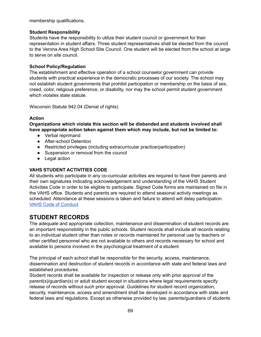membership qualifications.

#### **Student Responsibility**

Students have the responsibility to utilize their student council or government for their representation in student affairs. Three student representatives shall be elected from the council to the Verona Area High School Site Council. One student will be elected from the school at large to serve on site council.

#### **School Policy/Regulation**

The establishment and effective operation of a school counselor government can provide students with practical experience in the democratic processes of our society. The school may not establish student governments that prohibit participation or membership on the basis of sex, creed, color, religious preference, or disability, nor may the school permit student government which violates state statute.

Wisconsin Statute 942.04 (Denial of rights)

#### **Action**

**Organizations which violate this section will be disbanded and students involved shall have appropriate action taken against them which may include, but not be limited to:**

- Verbal reprimand
- After-school Detention
- Restricted privileges (including extracurricular practice/participation)
- Suspension or removal from the council
- Legal action

# **VAHS STUDENT ACTIVITIES CODE**

All students who participate in any co-curricular activities are required to have their parents and their own signatures indicating acknowledgement and understanding of the VAHS Student Activities Code in order to be eligible to participate. Signed Code forms are maintained on file in the VAHS office. Students and parents are required to attend seasonal activity meetings as scheduled. Attendance at these sessions is taken and failure to attend will delay participation. VAHS Code of [Conduct](https://docs.google.com/document/d/1W8fjEaffxiSIEP78ExLDsu0dLEuS_HdcoEEJioBSBQ0/edit)

# **STUDENT RECORDS**

The adequate and appropriate collection, maintenance and dissemination of student records are an important responsibility in the public schools. Student records shall include all records relating to an individual student other than notes or records maintained for personal use by teachers or other certified personnel who are not available to others and records necessary for school and available to persons involved in the psychological treatment of a student.

The principal of each school shall be responsible for the security, access, maintenance, dissemination and destruction of student records in accordance with state and federal laws and established procedures.

Student records shall be available for inspection or release only with prior approval of the parent(s)/guardian(s) or adult student except in situations where legal requirements specify release of records without such prior approval. Guidelines for student record organization, security, maintenance, access and amendment shall be developed in accordance with state and federal laws and regulations. Except as otherwise provided by law, parents/guardians of students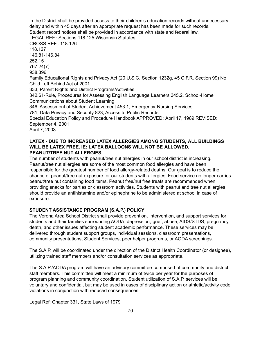in the District shall be provided access to their children's education records without unnecessary delay and within 45 days after an appropriate request has been made for such records. Student record notices shall be provided in accordance with state and federal law. LEGAL REF.: Sections 118.125 Wisconsin Statutes CROSS REF.: 118.126 118.127 146.81-146.84 252.15 767.24(7) 938.396 Family Educational Rights and Privacy Act (20 U.S.C. Section 1232g, 45 C.F.R. Section 99) No Child Left Behind Act of 2001 333, Parent Rights and District Programs/Activities 342.61-Rule, Procedures for Assessing English Language Learners 345.2, School-Home Communications about Student Learning 346, Assessment of Student Achievement 453.1, Emergency Nursing Services 781, Data Privacy and Security 823, Access to Public Records Special Education Policy and Procedure Handbook APPROVED: April 17, 1989 REVISED: September 4, 2001 April 7, 2003

#### **LATEX - DUE TO INCREASED LATEX ALLERGIES AMONG STUDENTS, ALL BUILDINGS WILL BE LATEX FREE. IE: LATEX BALLOONS WILL NOT BE ALLOWED. PEANUT/TREE NUT ALLERGIES**

The number of students with peanut/tree nut allergies in our school district is increasing. Peanut/tree nut allergies are some of the most common food allergies and have been responsible for the greatest number of food allergy-related deaths. Our goal is to reduce the chance of peanut/tree nut exposure for our students with allergies. Food service no longer carries peanut/tree nut containing food items. Peanut free/nut free treats are recommended when providing snacks for parties or classroom activities. Students with peanut and tree nut allergies should provide an antihistamine and/or epinephrine to be administered at school in case of exposure.

#### **STUDENT ASSISTANCE PROGRAM (S.A.P.) POLICY**

The Verona Area School District shall provide prevention, intervention, and support services for students and their families surrounding AODA, depression, grief, abuse, AIDS/STDS, pregnancy, death, and other issues affecting student academic performance. These services may be delivered through student support groups, individual sessions, classroom presentations, community presentations, Student Services, peer helper programs, or AODA screenings.

The S.A.P. will be coordinated under the direction of the District Health Coordinator (or designee), utilizing trained staff members and/or consultation services as appropriate.

The S.A.P./AODA program will have an advisory committee comprised of community and district staff members. This committee will meet a minimum of twice per year for the purposes of program planning and community coordination. Student utilization of S.A.P. services will be voluntary and confidential, but may be used in cases of disciplinary action or athletic/activity code violations in conjunction with reduced consequences.

Legal Ref: Chapter 331, State Laws of 1979